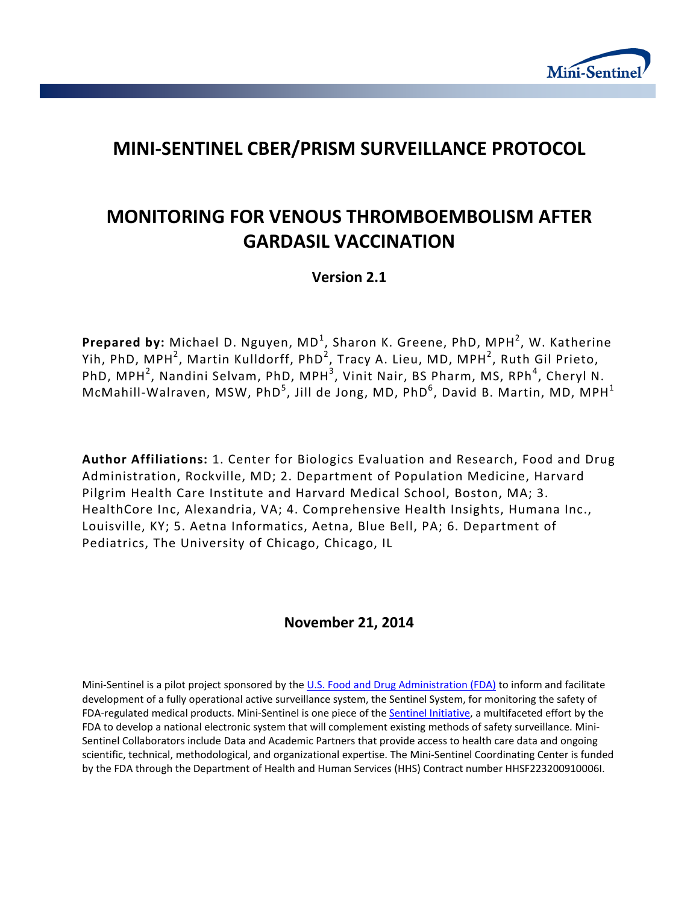

# **MINI-SENTINEL CBER/PRISM SURVEILLANCE PROTOCOL**

# **MONITORING FOR VENOUS THROMBOEMBOLISM AFTER GARDASIL VACCINATION**

## **Version 2.1**

Prepared by: Michael D. Nguyen, MD<sup>1</sup>, Sharon K. Greene, PhD, MPH<sup>2</sup>, W. Katherine Yih, PhD, MPH $^2$ , Martin Kulldorff, PhD $^2$ , Tracy A. Lieu, MD, MPH $^2$ , Ruth Gil Prieto, PhD, MPH<sup>2</sup>, Nandini Selvam, PhD, MPH<sup>3</sup>, Vinit Nair, BS Pharm, MS, RPh<sup>4</sup>, Cheryl N. McMahill-Walraven, MSW, PhD<sup>5</sup>, Jill de Jong, MD, PhD<sup>6</sup>, David B. Martin, MD, MPH<sup>1</sup>

**Author Affiliations:** 1. Center for Biologics Evaluation and Research, Food and Drug Administration, Rockville, MD; 2. Department of Population Medicine, Harvard Pilgrim Health Care Institute and Harvard Medical School, Boston, MA; 3. HealthCore Inc, Alexandria, VA; 4. Comprehensive Health Insights, Humana Inc., Louisville, KY; 5. Aetna Informatics, Aetna, Blue Bell, PA; 6. Department of Pediatrics, The University of Chicago, Chicago, IL

## **November 21, 2014**

Mini-Sentinel is a pilot project sponsored by the [U.S. Food and Drug Administration \(FDA\)](http://www.fda.gov/) to inform and facilitate development of a fully operational active surveillance system, the Sentinel System, for monitoring the safety of FDA-regulated medical products. Mini-Sentinel is one piece of the [Sentinel Initiative,](http://www.fda.gov/Safety/FDAsSentinelInitiative/default.htm) a multifaceted effort by the FDA to develop a national electronic system that will complement existing methods of safety surveillance. Mini-Sentinel Collaborators include Data and Academic Partners that provide access to health care data and ongoing scientific, technical, methodological, and organizational expertise. The Mini-Sentinel Coordinating Center is funded by the FDA through the Department of Health and Human Services (HHS) Contract number HHSF223200910006I.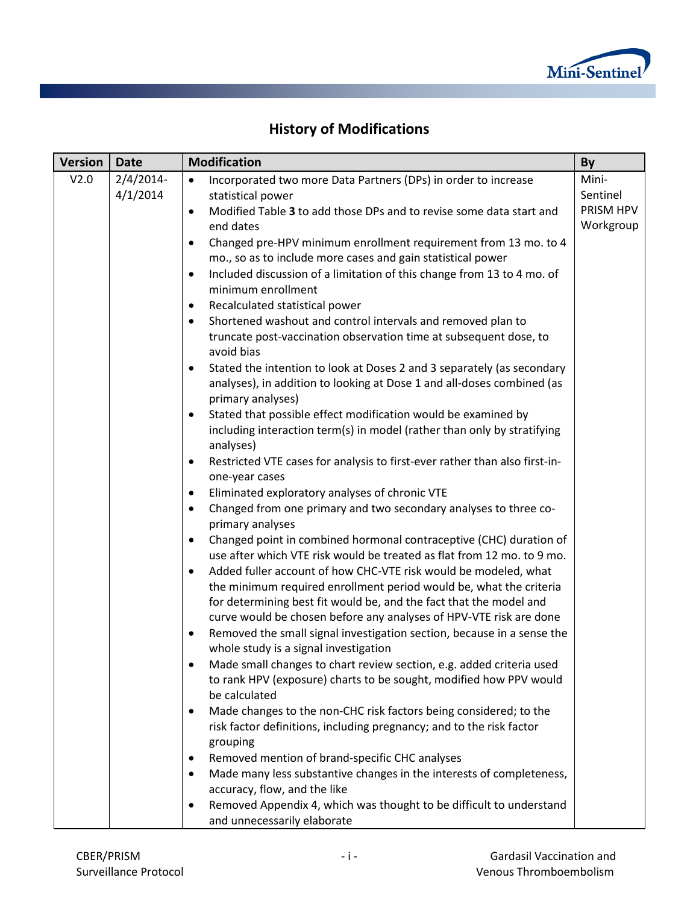

# **History of Modifications**

| <b>Version</b> | <b>Date</b>  | <b>Modification</b>                                                                                       | By        |
|----------------|--------------|-----------------------------------------------------------------------------------------------------------|-----------|
| V2.0           | $2/4/2014$ - | Incorporated two more Data Partners (DPs) in order to increase<br>$\bullet$                               | Mini-     |
|                | 4/1/2014     | statistical power                                                                                         | Sentinel  |
|                |              | Modified Table 3 to add those DPs and to revise some data start and<br>$\bullet$                          | PRISM HPV |
|                |              | end dates                                                                                                 | Workgroup |
|                |              | Changed pre-HPV minimum enrollment requirement from 13 mo. to 4<br>$\bullet$                              |           |
|                |              | mo., so as to include more cases and gain statistical power                                               |           |
|                |              | Included discussion of a limitation of this change from 13 to 4 mo. of<br>$\bullet$<br>minimum enrollment |           |
|                |              | Recalculated statistical power<br>$\bullet$                                                               |           |
|                |              | Shortened washout and control intervals and removed plan to<br>$\bullet$                                  |           |
|                |              | truncate post-vaccination observation time at subsequent dose, to                                         |           |
|                |              | avoid bias                                                                                                |           |
|                |              | Stated the intention to look at Doses 2 and 3 separately (as secondary<br>$\bullet$                       |           |
|                |              | analyses), in addition to looking at Dose 1 and all-doses combined (as                                    |           |
|                |              | primary analyses)                                                                                         |           |
|                |              | Stated that possible effect modification would be examined by<br>$\bullet$                                |           |
|                |              | including interaction term(s) in model (rather than only by stratifying<br>analyses)                      |           |
|                |              | Restricted VTE cases for analysis to first-ever rather than also first-in-<br>$\bullet$                   |           |
|                |              | one-year cases                                                                                            |           |
|                |              | Eliminated exploratory analyses of chronic VTE<br>$\bullet$                                               |           |
|                |              | Changed from one primary and two secondary analyses to three co-<br>$\bullet$                             |           |
|                |              | primary analyses                                                                                          |           |
|                |              | Changed point in combined hormonal contraceptive (CHC) duration of<br>$\bullet$                           |           |
|                |              | use after which VTE risk would be treated as flat from 12 mo. to 9 mo.                                    |           |
|                |              | Added fuller account of how CHC-VTE risk would be modeled, what<br>$\bullet$                              |           |
|                |              | the minimum required enrollment period would be, what the criteria                                        |           |
|                |              | for determining best fit would be, and the fact that the model and                                        |           |
|                |              | curve would be chosen before any analyses of HPV-VTE risk are done                                        |           |
|                |              | Removed the small signal investigation section, because in a sense the<br>$\bullet$                       |           |
|                |              | whole study is a signal investigation                                                                     |           |
|                |              | Made small changes to chart review section, e.g. added criteria used                                      |           |
|                |              | to rank HPV (exposure) charts to be sought, modified how PPV would                                        |           |
|                |              | be calculated                                                                                             |           |
|                |              | Made changes to the non-CHC risk factors being considered; to the<br>$\bullet$                            |           |
|                |              | risk factor definitions, including pregnancy; and to the risk factor                                      |           |
|                |              | grouping                                                                                                  |           |
|                |              | Removed mention of brand-specific CHC analyses<br>$\bullet$                                               |           |
|                |              | Made many less substantive changes in the interests of completeness,<br>$\bullet$                         |           |
|                |              | accuracy, flow, and the like                                                                              |           |
|                |              | Removed Appendix 4, which was thought to be difficult to understand<br>٠<br>and unnecessarily elaborate   |           |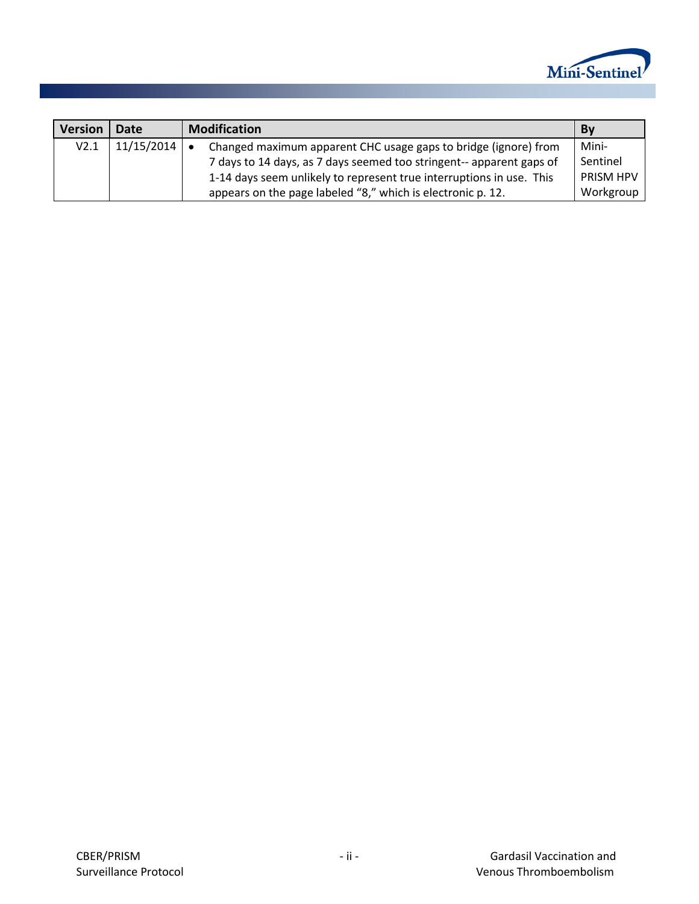

| <b>Version</b>   | Date                   | <b>Modification</b>                                                  | Bv               |
|------------------|------------------------|----------------------------------------------------------------------|------------------|
| V <sub>2.1</sub> | $11/15/2014$ $\bullet$ | Changed maximum apparent CHC usage gaps to bridge (ignore) from      | Mini-            |
|                  |                        | 7 days to 14 days, as 7 days seemed too stringent-- apparent gaps of | Sentinel         |
|                  |                        | 1-14 days seem unlikely to represent true interruptions in use. This | <b>PRISM HPV</b> |
|                  |                        | appears on the page labeled "8," which is electronic p. 12.          | Workgroup        |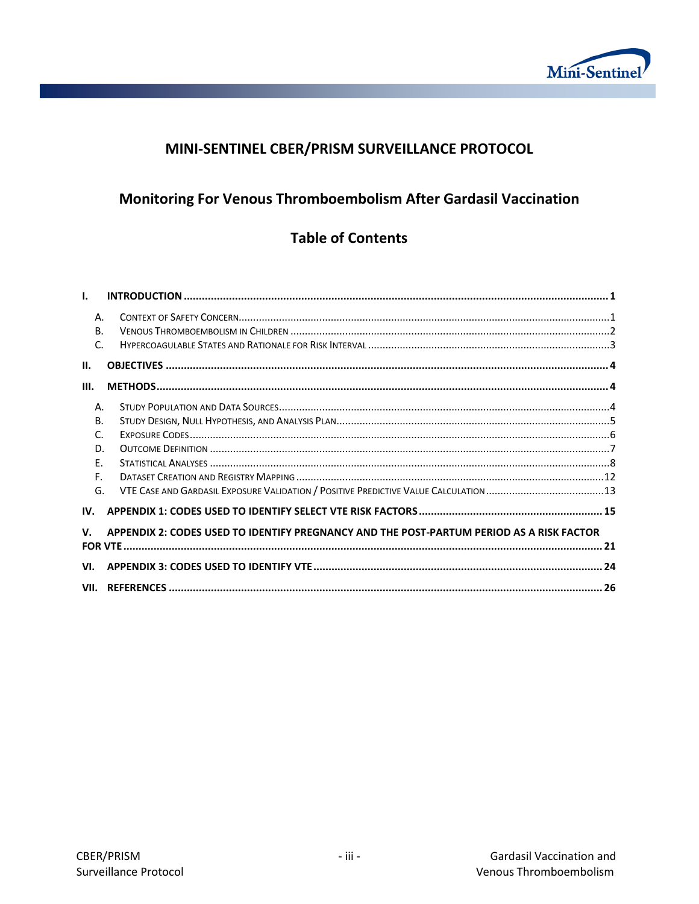

# MINI-SENTINEL CBER/PRISM SURVEILLANCE PROTOCOL

# Monitoring For Venous Thromboembolism After Gardasil Vaccination

# **Table of Contents**

| $\mathbf{L}$               |                                                                                          |  |
|----------------------------|------------------------------------------------------------------------------------------|--|
| Α.<br>$\mathsf{B}$ .<br>C. |                                                                                          |  |
| н.                         |                                                                                          |  |
| III.                       |                                                                                          |  |
| Α.                         |                                                                                          |  |
| <b>B.</b>                  |                                                                                          |  |
| $\mathsf{C}$               |                                                                                          |  |
| D.                         |                                                                                          |  |
| $F_{\rm L}$                |                                                                                          |  |
| F.                         |                                                                                          |  |
| G.                         |                                                                                          |  |
| IV.                        |                                                                                          |  |
| V.                         | APPENDIX 2: CODES USED TO IDENTIFY PREGNANCY AND THE POST-PARTUM PERIOD AS A RISK FACTOR |  |
| VI.                        |                                                                                          |  |
|                            |                                                                                          |  |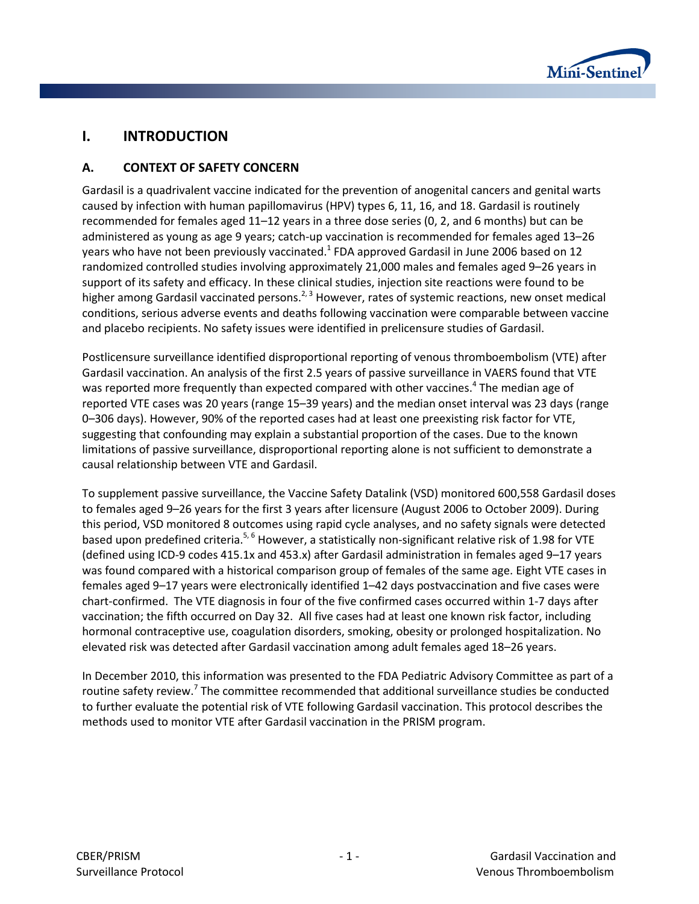

# **I. INTRODUCTION**

### **A. CONTEXT OF SAFETY CONCERN**

Gardasil is a quadrivalent vaccine indicated for the prevention of anogenital cancers and genital warts caused by infection with human papillomavirus (HPV) types 6, 11, 16, and 18. Gardasil is routinely recommended for females aged 11–12 years in a three dose series (0, 2, and 6 months) but can be administered as young as age 9 years; catch-up vaccination is recommended for females aged 13–26 years who have not been previously vaccinated.<sup>1</sup> FDA approved Gardasil in June 2006 based on 12 randomized controlled studies involving approximately 21,000 males and females aged 9–26 years in support of its safety and efficacy. In these clinical studies, injection site reactions were found to be higher among Gardasil vaccinated persons.<sup>2, 3</sup> However, rates of systemic reactions, new onset medical conditions, serious adverse events and deaths following vaccination were comparable between vaccine and placebo recipients. No safety issues were identified in prelicensure studies of Gardasil.

Postlicensure surveillance identified disproportional reporting of venous thromboembolism (VTE) after Gardasil vaccination. An analysis of the first 2.5 years of passive surveillance in VAERS found that VTE was reported more frequently than expected compared with other vaccines.<sup>4</sup> The median age of reported VTE cases was 20 years (range 15–39 years) and the median onset interval was 23 days (range 0–306 days). However, 90% of the reported cases had at least one preexisting risk factor for VTE, suggesting that confounding may explain a substantial proportion of the cases. Due to the known limitations of passive surveillance, disproportional reporting alone is not sufficient to demonstrate a causal relationship between VTE and Gardasil.

To supplement passive surveillance, the Vaccine Safety Datalink (VSD) monitored 600,558 Gardasil doses to females aged 9–26 years for the first 3 years after licensure (August 2006 to October 2009). During this period, VSD monitored 8 outcomes using rapid cycle analyses, and no safety signals were detected based upon predefined criteria.<sup>5, 6</sup> However, a statistically non-significant relative risk of 1.98 for VTE (defined using ICD-9 codes 415.1x and 453.x) after Gardasil administration in females aged 9–17 years was found compared with a historical comparison group of females of the same age. Eight VTE cases in females aged 9–17 years were electronically identified 1–42 days postvaccination and five cases were chart-confirmed. The VTE diagnosis in four of the five confirmed cases occurred within 1-7 days after vaccination; the fifth occurred on Day 32. All five cases had at least one known risk factor, including hormonal contraceptive use, coagulation disorders, smoking, obesity or prolonged hospitalization. No elevated risk was detected after Gardasil vaccination among adult females aged 18–26 years.

In December 2010, this information was presented to the FDA Pediatric Advisory Committee as part of a routine safety review.<sup>7</sup> The committee recommended that additional surveillance studies be conducted to further evaluate the potential risk of VTE following Gardasil vaccination. This protocol describes the methods used to monitor VTE after Gardasil vaccination in the PRISM program.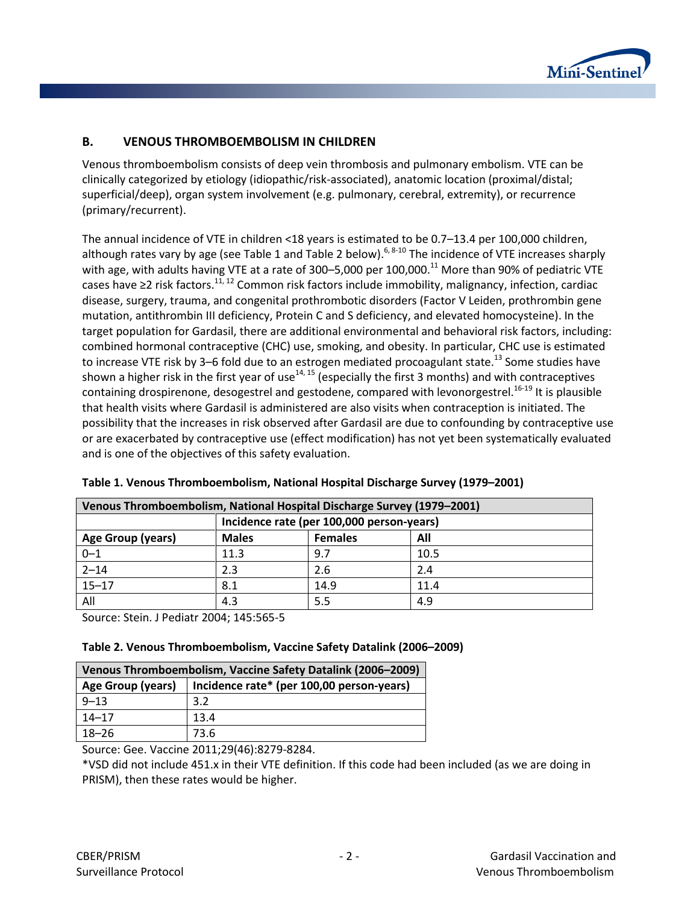

### **B. VENOUS THROMBOEMBOLISM IN CHILDREN**

Venous thromboembolism consists of deep vein thrombosis and pulmonary embolism. VTE can be clinically categorized by etiology (idiopathic/risk-associated), anatomic location (proximal/distal; superficial/deep), organ system involvement (e.g. pulmonary, cerebral, extremity), or recurrence (primary/recurrent).

The annual incidence of VTE in children <18 years is estimated to be 0.7–13.4 per 100,000 children, although rates vary by age (se[e Table 1](#page-5-0) and [Table 2](#page-5-1) below).<sup>6, 8-10</sup> The incidence of VTE increases sharply with age, with adults having VTE at a rate of 300–5,000 per 100,000.<sup>11</sup> More than 90% of pediatric VTE cases have ≥2 risk factors.<sup>11, 12</sup> Common risk factors include immobility, malignancy, infection, cardiac disease, surgery, trauma, and congenital prothrombotic disorders (Factor V Leiden, prothrombin gene mutation, antithrombin III deficiency, Protein C and S deficiency, and elevated homocysteine). In the target population for Gardasil, there are additional environmental and behavioral risk factors, including: combined hormonal contraceptive (CHC) use, smoking, and obesity. In particular, CHC use is estimated to increase VTE risk by 3–6 fold due to an estrogen mediated procoagulant state.<sup>13</sup> Some studies have shown a higher risk in the first year of use $14, 15$  (especially the first 3 months) and with contraceptives containing drospirenone, desogestrel and gestodene, compared with levonorgestrel.<sup>16-19</sup> It is plausible that health visits where Gardasil is administered are also visits when contraception is initiated. The possibility that the increases in risk observed after Gardasil are due to confounding by contraceptive use or are exacerbated by contraceptive use (effect modification) has not yet been systematically evaluated and is one of the objectives of this safety evaluation.

| Venous Thromboembolism, National Hospital Discharge Survey (1979–2001) |                                           |                |      |  |
|------------------------------------------------------------------------|-------------------------------------------|----------------|------|--|
|                                                                        | Incidence rate (per 100,000 person-years) |                |      |  |
| Age Group (years)                                                      | <b>Males</b>                              | <b>Females</b> | All  |  |
| $0 - 1$                                                                | 11.3                                      | 9.7            | 10.5 |  |
| $2 - 14$                                                               | 2.3                                       | 2.6            | 2.4  |  |
| $15 - 17$                                                              | 8.1                                       | 14.9           | 11.4 |  |
| All                                                                    | 4.3                                       | 5.5            | 4.9  |  |

<span id="page-5-0"></span>

| Table 1. Venous Thromboembolism, National Hospital Discharge Survey (1979–2001) |  |  |  |
|---------------------------------------------------------------------------------|--|--|--|
|---------------------------------------------------------------------------------|--|--|--|

Source: Stein. J Pediatr 2004; 145:565-5

#### <span id="page-5-1"></span>**Table 2. Venous Thromboembolism, Vaccine Safety Datalink (2006–2009)**

| Venous Thromboembolism, Vaccine Safety Datalink (2006-2009)    |      |  |  |
|----------------------------------------------------------------|------|--|--|
| Incidence rate* (per 100,00 person-years)<br>Age Group (years) |      |  |  |
| $9 - 13$                                                       | 3.2  |  |  |
| $14 - 17$                                                      | 13.4 |  |  |
| $18 - 26$                                                      | 73.6 |  |  |

Source: Gee. Vaccine 2011;29(46):8279-8284.

<span id="page-5-2"></span>\*VSD did not include 451.x in their VTE definition. If this code had been included (as we are doing in PRISM), then these rates would be higher.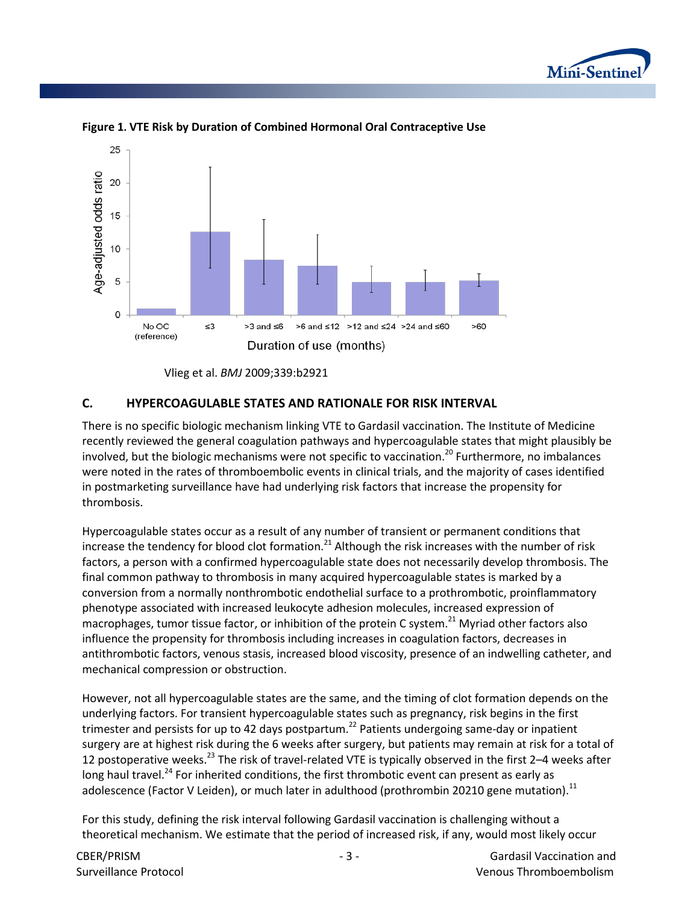



**Figure 1. VTE Risk by Duration of Combined Hormonal Oral Contraceptive Use**

#### **C. HYPERCOAGULABLE STATES AND RATIONALE FOR RISK INTERVAL**

There is no specific biologic mechanism linking VTE to Gardasil vaccination. The Institute of Medicine recently reviewed the general coagulation pathways and hypercoagulable states that might plausibly be involved, but the biologic mechanisms were not specific to vaccination.<sup>20</sup> Furthermore, no imbalances were noted in the rates of thromboembolic events in clinical trials, and the majority of cases identified in postmarketing surveillance have had underlying risk factors that increase the propensity for thrombosis.

Hypercoagulable states occur as a result of any number of transient or permanent conditions that increase the tendency for blood clot formation.<sup>21</sup> Although the risk increases with the number of risk factors, a person with a confirmed hypercoagulable state does not necessarily develop thrombosis. The final common pathway to thrombosis in many acquired hypercoagulable states is marked by a conversion from a normally nonthrombotic endothelial surface to a prothrombotic, proinflammatory phenotype associated with increased leukocyte adhesion molecules, increased expression of macrophages, tumor tissue factor, or inhibition of the protein C system.<sup>21</sup> Myriad other factors also influence the propensity for thrombosis including increases in coagulation factors, decreases in antithrombotic factors, venous stasis, increased blood viscosity, presence of an indwelling catheter, and mechanical compression or obstruction.

However, not all hypercoagulable states are the same, and the timing of clot formation depends on the underlying factors. For transient hypercoagulable states such as pregnancy, risk begins in the first trimester and persists for up to 42 days postpartum.<sup>22</sup> Patients undergoing same-day or inpatient surgery are at highest risk during the 6 weeks after surgery, but patients may remain at risk for a total of 12 postoperative weeks.<sup>23</sup> The risk of travel-related VTE is typically observed in the first 2–4 weeks after long haul travel.<sup>24</sup> For inherited conditions, the first thrombotic event can present as early as adolescence (Factor V Leiden), or much later in adulthood (prothrombin 20210 gene mutation).<sup>11</sup>

For this study, defining the risk interval following Gardasil vaccination is challenging without a theoretical mechanism. We estimate that the period of increased risk, if any, would most likely occur

Vlieg et al. *BMJ* 2009;339:b2921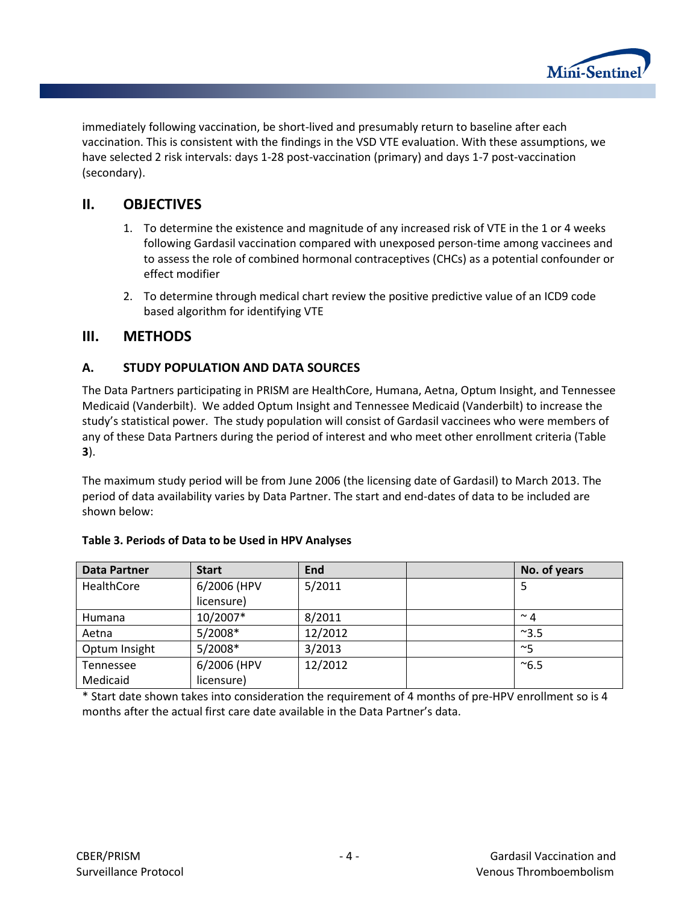

immediately following vaccination, be short-lived and presumably return to baseline after each vaccination. This is consistent with the findings in the VSD VTE evaluation. With these assumptions, we have selected 2 risk intervals: days 1-28 post-vaccination (primary) and days 1-7 post-vaccination (secondary).

## **II. OBJECTIVES**

- 1. To determine the existence and magnitude of any increased risk of VTE in the 1 or 4 weeks following Gardasil vaccination compared with unexposed person-time among vaccinees and to assess the role of combined hormonal contraceptives (CHCs) as a potential confounder or effect modifier
- 2. To determine through medical chart review the positive predictive value of an ICD9 code based algorithm for identifying VTE

### **III. METHODS**

### **A. STUDY POPULATION AND DATA SOURCES**

The Data Partners participating in PRISM are HealthCore, Humana, Aetna, Optum Insight, and Tennessee Medicaid (Vanderbilt). We added Optum Insight and Tennessee Medicaid (Vanderbilt) to increase the study's statistical power. The study population will consist of Gardasil vaccinees who were members of any of these Data Partners during the period of interest and who meet other enrollment criteria [\(Table](#page-7-0) **[3](#page-7-0)**).

<span id="page-7-0"></span>The maximum study period will be from June 2006 (the licensing date of Gardasil) to March 2013. The period of data availability varies by Data Partner. The start and end-dates of data to be included are shown below:

| <b>Data Partner</b> | <b>Start</b> | End     | No. of years |
|---------------------|--------------|---------|--------------|
| HealthCore          | 6/2006 (HPV  | 5/2011  |              |
|                     | licensure)   |         |              |
| Humana              | 10/2007*     | 8/2011  | $~^{\sim}$ 4 |
| Aetna               | $5/2008*$    | 12/2012 | $^{\sim}3.5$ |
| Optum Insight       | $5/2008*$    | 3/2013  | $~\sim$ 5    |
| Tennessee           | 6/2006 (HPV  | 12/2012 | $^{\sim}6.5$ |
| Medicaid            | licensure)   |         |              |

#### **Table 3. Periods of Data to be Used in HPV Analyses**

\* Start date shown takes into consideration the requirement of 4 months of pre-HPV enrollment so is 4 months after the actual first care date available in the Data Partner's data.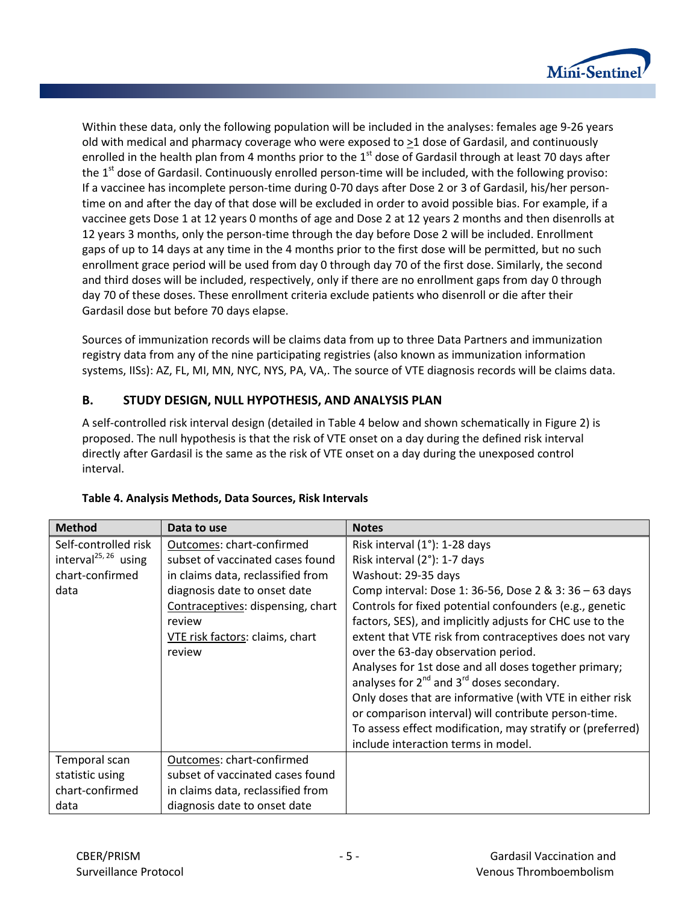

Within these data, only the following population will be included in the analyses: females age 9-26 years old with medical and pharmacy coverage who were exposed to  $\geq 1$  dose of Gardasil, and continuously enrolled in the health plan from 4 months prior to the  $1<sup>st</sup>$  dose of Gardasil through at least 70 days after the  $1<sup>st</sup>$  dose of Gardasil. Continuously enrolled person-time will be included, with the following proviso: If a vaccinee has incomplete person-time during 0-70 days after Dose 2 or 3 of Gardasil, his/her persontime on and after the day of that dose will be excluded in order to avoid possible bias. For example, if a vaccinee gets Dose 1 at 12 years 0 months of age and Dose 2 at 12 years 2 months and then disenrolls at 12 years 3 months, only the person-time through the day before Dose 2 will be included. Enrollment gaps of up to 14 days at any time in the 4 months prior to the first dose will be permitted, but no such enrollment grace period will be used from day 0 through day 70 of the first dose. Similarly, the second and third doses will be included, respectively, only if there are no enrollment gaps from day 0 through day 70 of these doses. These enrollment criteria exclude patients who disenroll or die after their Gardasil dose but before 70 days elapse.

Sources of immunization records will be claims data from up to three Data Partners and immunization registry data from any of the nine participating registries (also known as immunization information systems, IISs): AZ, FL, MI, MN, NYC, NYS, PA, VA,. The source of VTE diagnosis records will be claims data.

### **B. STUDY DESIGN, NULL HYPOTHESIS, AND ANALYSIS PLAN**

A self-controlled risk interval design (detailed i[n Table 4](#page-8-0) below and shown schematically i[n Figure 2\)](#page-11-0) is proposed. The null hypothesis is that the risk of VTE onset on a day during the defined risk interval directly after Gardasil is the same as the risk of VTE onset on a day during the unexposed control interval.

| <b>Method</b>                    | Data to use                       | <b>Notes</b>                                                      |
|----------------------------------|-----------------------------------|-------------------------------------------------------------------|
| Self-controlled risk             | Outcomes: chart-confirmed         | Risk interval (1°): 1-28 days                                     |
| interval <sup>25, 26</sup> using | subset of vaccinated cases found  | Risk interval (2°): 1-7 days                                      |
| chart-confirmed                  | in claims data, reclassified from | Washout: 29-35 days                                               |
| data                             | diagnosis date to onset date      | Comp interval: Dose 1: 36-56, Dose 2 & 3: 36 - 63 days            |
|                                  | Contraceptives: dispensing, chart | Controls for fixed potential confounders (e.g., genetic           |
|                                  | review                            | factors, SES), and implicitly adjusts for CHC use to the          |
|                                  | VTE risk factors: claims, chart   | extent that VTE risk from contraceptives does not vary            |
|                                  | review                            | over the 63-day observation period.                               |
|                                  |                                   | Analyses for 1st dose and all doses together primary;             |
|                                  |                                   | analyses for 2 <sup>nd</sup> and 3 <sup>rd</sup> doses secondary. |
|                                  |                                   | Only doses that are informative (with VTE in either risk          |
|                                  |                                   | or comparison interval) will contribute person-time.              |
|                                  |                                   | To assess effect modification, may stratify or (preferred)        |
|                                  |                                   | include interaction terms in model.                               |
| Temporal scan                    | Outcomes: chart-confirmed         |                                                                   |
| statistic using                  | subset of vaccinated cases found  |                                                                   |
| chart-confirmed                  | in claims data, reclassified from |                                                                   |
| data                             | diagnosis date to onset date      |                                                                   |

#### <span id="page-8-0"></span>**Table 4. Analysis Methods, Data Sources, Risk Intervals**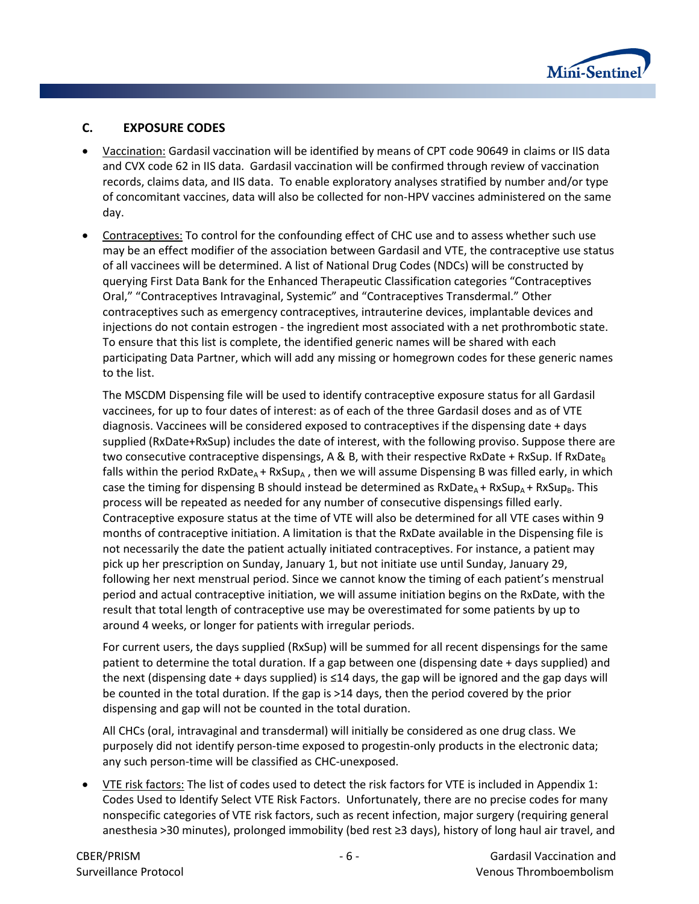

#### **C. EXPOSURE CODES**

- Vaccination: Gardasil vaccination will be identified by means of CPT code 90649 in claims or IIS data and CVX code 62 in IIS data. Gardasil vaccination will be confirmed through review of vaccination records, claims data, and IIS data. To enable exploratory analyses stratified by number and/or type of concomitant vaccines, data will also be collected for non-HPV vaccines administered on the same day.
- Contraceptives: To control for the confounding effect of CHC use and to assess whether such use may be an effect modifier of the association between Gardasil and VTE, the contraceptive use status of all vaccinees will be determined. A list of National Drug Codes (NDCs) will be constructed by querying First Data Bank for the Enhanced Therapeutic Classification categories "Contraceptives Oral," "Contraceptives Intravaginal, Systemic" and "Contraceptives Transdermal." Other contraceptives such as emergency contraceptives, intrauterine devices, implantable devices and injections do not contain estrogen - the ingredient most associated with a net prothrombotic state. To ensure that this list is complete, the identified generic names will be shared with each participating Data Partner, which will add any missing or homegrown codes for these generic names to the list.

The MSCDM Dispensing file will be used to identify contraceptive exposure status for all Gardasil vaccinees, for up to four dates of interest: as of each of the three Gardasil doses and as of VTE diagnosis. Vaccinees will be considered exposed to contraceptives if the dispensing date + days supplied (RxDate+RxSup) includes the date of interest, with the following proviso. Suppose there are two consecutive contraceptive dispensings, A & B, with their respective RxDate + RxSup. If RxDate $_B$ falls within the period  $RxDate_A + RxSup_A$ , then we will assume Dispensing B was filled early, in which case the timing for dispensing B should instead be determined as  $RxDate_A + RxSup_A + RxSup_B$ . This process will be repeated as needed for any number of consecutive dispensings filled early. Contraceptive exposure status at the time of VTE will also be determined for all VTE cases within 9 months of contraceptive initiation. A limitation is that the RxDate available in the Dispensing file is not necessarily the date the patient actually initiated contraceptives. For instance, a patient may pick up her prescription on Sunday, January 1, but not initiate use until Sunday, January 29, following her next menstrual period. Since we cannot know the timing of each patient's menstrual period and actual contraceptive initiation, we will assume initiation begins on the RxDate, with the result that total length of contraceptive use may be overestimated for some patients by up to around 4 weeks, or longer for patients with irregular periods.

For current users, the days supplied (RxSup) will be summed for all recent dispensings for the same patient to determine the total duration. If a gap between one (dispensing date + days supplied) and the next (dispensing date + days supplied) is ≤14 days, the gap will be ignored and the gap days will be counted in the total duration. If the gap is >14 days, then the period covered by the prior dispensing and gap will not be counted in the total duration.

All CHCs (oral, intravaginal and transdermal) will initially be considered as one drug class. We purposely did not identify person-time exposed to progestin-only products in the electronic data; any such person-time will be classified as CHC-unexposed.

• VTE risk factors: The list of codes used to detect the risk factors for VTE is included in [Appendix 1:](#page-18-0)  [Codes Used to Identify Select VTE Risk Factors.](#page-18-0) Unfortunately, there are no precise codes for many nonspecific categories of VTE risk factors, such as recent infection, major surgery (requiring general anesthesia >30 minutes), prolonged immobility (bed rest ≥3 days), history of long haul air travel, and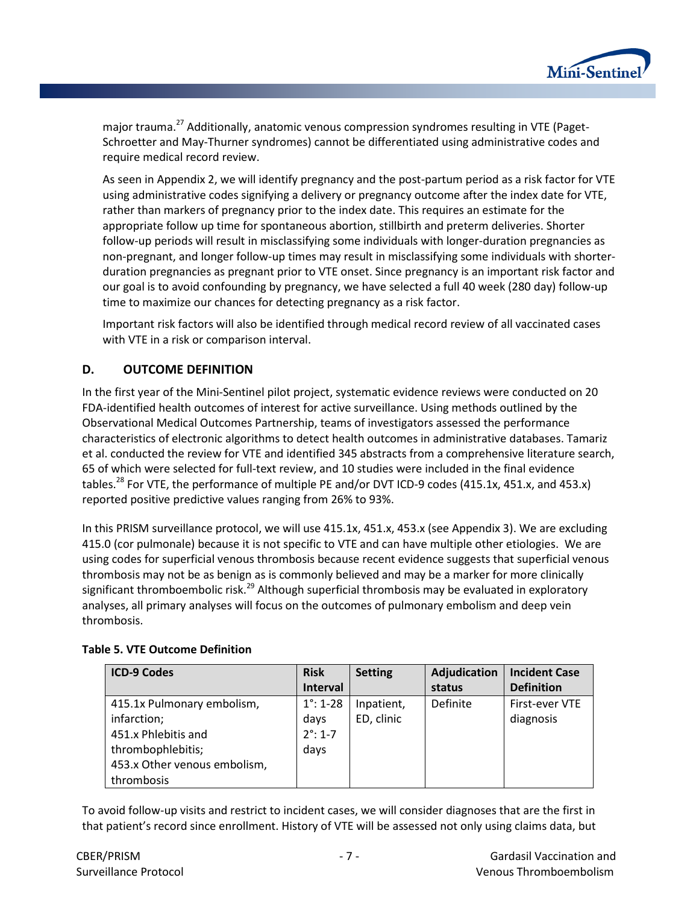

major trauma.<sup>27</sup> Additionally, anatomic venous compression syndromes resulting in VTE (Paget-Schroetter and May-Thurner syndromes) cannot be differentiated using administrative codes and require medical record review.

As seen in [Appendix 2,](#page-24-0) we will identify pregnancy and the post-partum period as a risk factor for VTE using administrative codes signifying a delivery or pregnancy outcome after the index date for VTE, rather than markers of pregnancy prior to the index date. This requires an estimate for the appropriate follow up time for spontaneous abortion, stillbirth and preterm deliveries. Shorter follow-up periods will result in misclassifying some individuals with longer-duration pregnancies as non-pregnant, and longer follow-up times may result in misclassifying some individuals with shorterduration pregnancies as pregnant prior to VTE onset. Since pregnancy is an important risk factor and our goal is to avoid confounding by pregnancy, we have selected a full 40 week (280 day) follow-up time to maximize our chances for detecting pregnancy as a risk factor.

Important risk factors will also be identified through medical record review of all vaccinated cases with VTE in a risk or comparison interval.

### **D. OUTCOME DEFINITION**

In the first year of the Mini-Sentinel pilot project, systematic evidence reviews were conducted on 20 FDA-identified health outcomes of interest for active surveillance. Using methods outlined by the Observational Medical Outcomes Partnership, teams of investigators assessed the performance characteristics of electronic algorithms to detect health outcomes in administrative databases. Tamariz et al. conducted the review for VTE and identified 345 abstracts from a comprehensive literature search, 65 of which were selected for full-text review, and 10 studies were included in the final evidence tables.<sup>28</sup> For VTE, the performance of multiple PE and/or DVT ICD-9 codes (415.1x, 451.x, and 453.x) reported positive predictive values ranging from 26% to 93%.

In this PRISM surveillance protocol, we will use 415.1x, 451.x, 453.x (see [Appendix 3\)](#page-27-0). We are excluding 415.0 (cor pulmonale) because it is not specific to VTE and can have multiple other etiologies. We are using codes for superficial venous thrombosis because recent evidence suggests that superficial venous thrombosis may not be as benign as is commonly believed and may be a marker for more clinically significant thromboembolic risk.<sup>29</sup> Although superficial thrombosis may be evaluated in exploratory analyses, all primary analyses will focus on the outcomes of pulmonary embolism and deep vein thrombosis.

| <b>ICD-9 Codes</b>           | <b>Risk</b>        | <b>Setting</b> | Adjudication | <b>Incident Case</b> |
|------------------------------|--------------------|----------------|--------------|----------------------|
|                              | <b>Interval</b>    |                | status       | <b>Definition</b>    |
| 415.1x Pulmonary embolism,   | $1^{\circ}$ : 1-28 | Inpatient,     | Definite     | First-ever VTE       |
| infarction;                  | days               | ED, clinic     |              | diagnosis            |
| 451.x Phlebitis and          | $2^{\circ}$ : 1-7  |                |              |                      |
| thrombophlebitis;            | days               |                |              |                      |
| 453.x Other venous embolism, |                    |                |              |                      |
| thrombosis                   |                    |                |              |                      |

#### **Table 5. VTE Outcome Definition**

To avoid follow-up visits and restrict to incident cases, we will consider diagnoses that are the first in that patient's record since enrollment. History of VTE will be assessed not only using claims data, but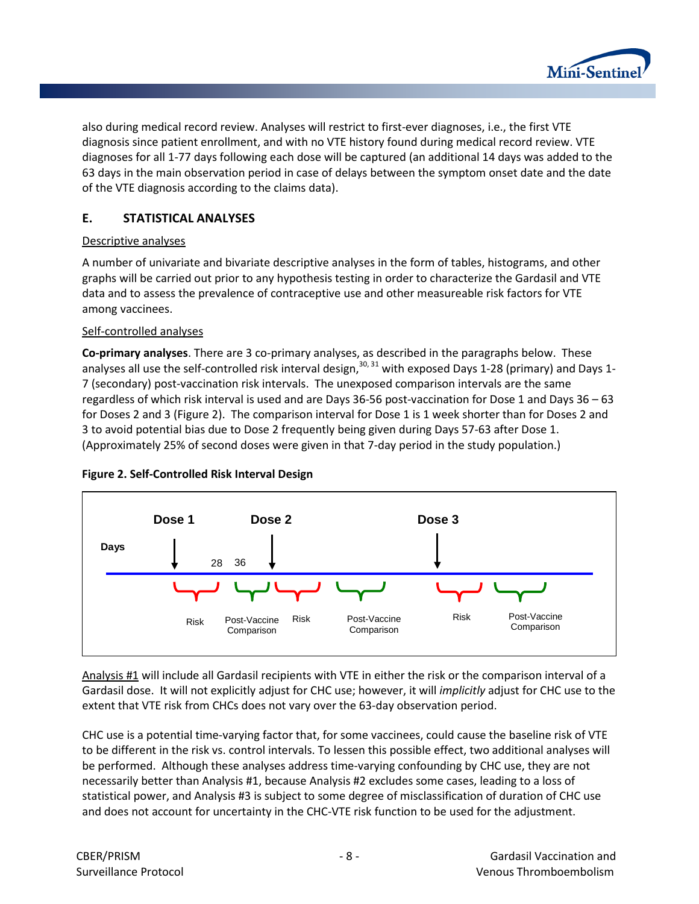

also during medical record review. Analyses will restrict to first-ever diagnoses, i.e., the first VTE diagnosis since patient enrollment, and with no VTE history found during medical record review. VTE diagnoses for all 1-77 days following each dose will be captured (an additional 14 days was added to the 63 days in the main observation period in case of delays between the symptom onset date and the date of the VTE diagnosis according to the claims data).

### **E. STATISTICAL ANALYSES**

#### Descriptive analyses

A number of univariate and bivariate descriptive analyses in the form of tables, histograms, and other graphs will be carried out prior to any hypothesis testing in order to characterize the Gardasil and VTE data and to assess the prevalence of contraceptive use and other measureable risk factors for VTE among vaccinees.

#### Self-controlled analyses

**Co-primary analyses**. There are 3 co-primary analyses, as described in the paragraphs below. These analyses all use the self-controlled risk interval design,  $30, 31$  with exposed Days 1-28 (primary) and Days 1-7 (secondary) post-vaccination risk intervals. The unexposed comparison intervals are the same regardless of which risk interval is used and are Days 36-56 post-vaccination for Dose 1 and Days 36 – 63 for Doses 2 and 3 [\(Figure 2\)](#page-11-0). The comparison interval for Dose 1 is 1 week shorter than for Doses 2 and 3 to avoid potential bias due to Dose 2 frequently being given during Days 57-63 after Dose 1. (Approximately 25% of second doses were given in that 7-day period in the study population.)



#### <span id="page-11-0"></span>**Figure 2. Self-Controlled Risk Interval Design**

Analysis #1 will include all Gardasil recipients with VTE in either the risk or the comparison interval of a Gardasil dose. It will not explicitly adjust for CHC use; however, it will *implicitly* adjust for CHC use to the extent that VTE risk from CHCs does not vary over the 63-day observation period.

CHC use is a potential time-varying factor that, for some vaccinees, could cause the baseline risk of VTE to be different in the risk vs. control intervals. To lessen this possible effect, two additional analyses will be performed. Although these analyses address time-varying confounding by CHC use, they are not necessarily better than Analysis #1, because Analysis #2 excludes some cases, leading to a loss of statistical power, and Analysis #3 is subject to some degree of misclassification of duration of CHC use and does not account for uncertainty in the CHC-VTE risk function to be used for the adjustment.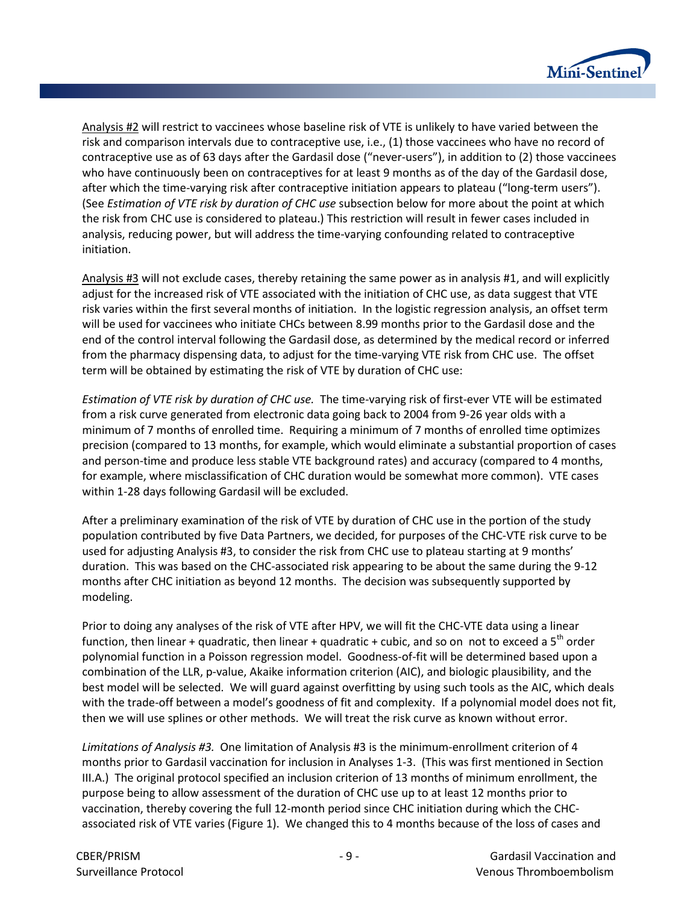

Analysis #2 will restrict to vaccinees whose baseline risk of VTE is unlikely to have varied between the risk and comparison intervals due to contraceptive use, i.e., (1) those vaccinees who have no record of contraceptive use as of 63 days after the Gardasil dose ("never-users"), in addition to (2) those vaccinees who have continuously been on contraceptives for at least 9 months as of the day of the Gardasil dose, after which the time-varying risk after contraceptive initiation appears to plateau ("long-term users"). (See *Estimation of VTE risk by duration of CHC use* subsection below for more about the point at which the risk from CHC use is considered to plateau.) This restriction will result in fewer cases included in analysis, reducing power, but will address the time-varying confounding related to contraceptive initiation.

Analysis #3 will not exclude cases, thereby retaining the same power as in analysis #1, and will explicitly adjust for the increased risk of VTE associated with the initiation of CHC use, as data suggest that VTE risk varies within the first several months of initiation. In the logistic regression analysis, an offset term will be used for vaccinees who initiate CHCs between 8.99 months prior to the Gardasil dose and the end of the control interval following the Gardasil dose, as determined by the medical record or inferred from the pharmacy dispensing data, to adjust for the time-varying VTE risk from CHC use. The offset term will be obtained by estimating the risk of VTE by duration of CHC use:

*Estimation of VTE risk by duration of CHC use.* The time-varying risk of first-ever VTE will be estimated from a risk curve generated from electronic data going back to 2004 from 9-26 year olds with a minimum of 7 months of enrolled time. Requiring a minimum of 7 months of enrolled time optimizes precision (compared to 13 months, for example, which would eliminate a substantial proportion of cases and person-time and produce less stable VTE background rates) and accuracy (compared to 4 months, for example, where misclassification of CHC duration would be somewhat more common). VTE cases within 1-28 days following Gardasil will be excluded.

After a preliminary examination of the risk of VTE by duration of CHC use in the portion of the study population contributed by five Data Partners, we decided, for purposes of the CHC-VTE risk curve to be used for adjusting Analysis #3, to consider the risk from CHC use to plateau starting at 9 months' duration. This was based on the CHC-associated risk appearing to be about the same during the 9-12 months after CHC initiation as beyond 12 months. The decision was subsequently supported by modeling.

Prior to doing any analyses of the risk of VTE after HPV, we will fit the CHC-VTE data using a linear function, then linear + quadratic, then linear + quadratic + cubic, and so on not to exceed a  $5<sup>th</sup>$  order polynomial function in a Poisson regression model. Goodness-of-fit will be determined based upon a combination of the LLR, p-value, Akaike information criterion (AIC), and biologic plausibility, and the best model will be selected. We will guard against overfitting by using such tools as the AIC, which deals with the trade-off between a model's goodness of fit and complexity. If a polynomial model does not fit, then we will use splines or other methods. We will treat the risk curve as known without error.

*Limitations of Analysis #3.* One limitation of Analysis #3 is the minimum-enrollment criterion of 4 months prior to Gardasil vaccination for inclusion in Analyses 1-3. (This was first mentioned in Section III.A.) The original protocol specified an inclusion criterion of 13 months of minimum enrollment, the purpose being to allow assessment of the duration of CHC use up to at least 12 months prior to vaccination, thereby covering the full 12-month period since CHC initiation during which the CHCassociated risk of VTE varies [\(Figure 1\)](#page-5-2). We changed this to 4 months because of the loss of cases and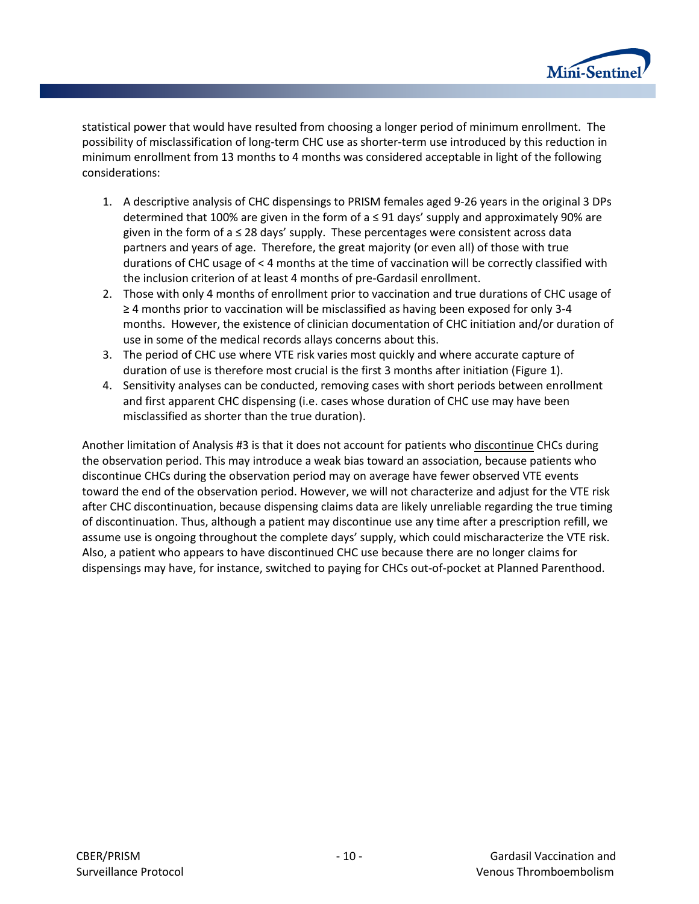

statistical power that would have resulted from choosing a longer period of minimum enrollment. The possibility of misclassification of long-term CHC use as shorter-term use introduced by this reduction in minimum enrollment from 13 months to 4 months was considered acceptable in light of the following considerations:

- 1. A descriptive analysis of CHC dispensings to PRISM females aged 9-26 years in the original 3 DPs determined that 100% are given in the form of a ≤ 91 days' supply and approximately 90% are given in the form of a ≤ 28 days' supply. These percentages were consistent across data partners and years of age. Therefore, the great majority (or even all) of those with true durations of CHC usage of < 4 months at the time of vaccination will be correctly classified with the inclusion criterion of at least 4 months of pre-Gardasil enrollment.
- 2. Those with only 4 months of enrollment prior to vaccination and true durations of CHC usage of ≥ 4 months prior to vaccination will be misclassified as having been exposed for only 3-4 months. However, the existence of clinician documentation of CHC initiation and/or duration of use in some of the medical records allays concerns about this.
- 3. The period of CHC use where VTE risk varies most quickly and where accurate capture of duration of use is therefore most crucial is the first 3 months after initiation [\(Figure 1\)](#page-5-2).
- 4. Sensitivity analyses can be conducted, removing cases with short periods between enrollment and first apparent CHC dispensing (i.e. cases whose duration of CHC use may have been misclassified as shorter than the true duration).

Another limitation of Analysis #3 is that it does not account for patients who discontinue CHCs during the observation period. This may introduce a weak bias toward an association, because patients who discontinue CHCs during the observation period may on average have fewer observed VTE events toward the end of the observation period. However, we will not characterize and adjust for the VTE risk after CHC discontinuation, because dispensing claims data are likely unreliable regarding the true timing of discontinuation. Thus, although a patient may discontinue use any time after a prescription refill, we assume use is ongoing throughout the complete days' supply, which could mischaracterize the VTE risk. Also, a patient who appears to have discontinued CHC use because there are no longer claims for dispensings may have, for instance, switched to paying for CHCs out-of-pocket at Planned Parenthood.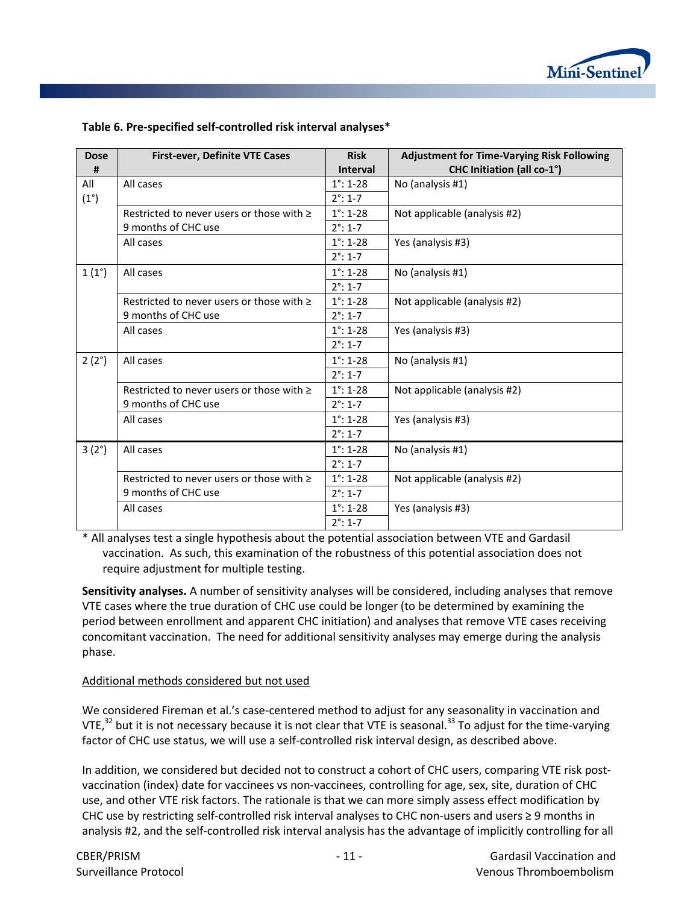

| <b>Dose</b>    | <b>First-ever, Definite VTE Cases</b>          | <b>Risk</b>        | <b>Adjustment for Time-Varying Risk Following</b> |
|----------------|------------------------------------------------|--------------------|---------------------------------------------------|
| #              |                                                | <b>Interval</b>    | CHC Initiation (all co-1°)                        |
| All            | All cases                                      | $1^{\circ}$ : 1-28 | No (analysis #1)                                  |
| $(1^{\circ})$  |                                                | $2^{\circ}$ : 1-7  |                                                   |
|                | Restricted to never users or those with $\geq$ | $1^{\circ}$ : 1-28 | Not applicable (analysis #2)                      |
|                | 9 months of CHC use                            | $2^{\circ}$ : 1-7  |                                                   |
|                | All cases                                      | $1^{\circ}$ : 1-28 | Yes (analysis #3)                                 |
|                |                                                | $2^{\circ}$ : 1-7  |                                                   |
| $1(1^{\circ})$ | All cases                                      | $1^{\circ}$ : 1-28 | No (analysis #1)                                  |
|                |                                                | $2^{\circ}$ : 1-7  |                                                   |
|                | Restricted to never users or those with $\geq$ | $1^{\circ}$ : 1-28 | Not applicable (analysis #2)                      |
|                | 9 months of CHC use                            | $2^{\circ}$ : 1-7  |                                                   |
|                | All cases                                      | $1^{\circ}$ : 1-28 | Yes (analysis #3)                                 |
|                |                                                | $2^{\circ}$ : 1-7  |                                                   |
| 2(2°)          | All cases                                      | $1^{\circ}$ : 1-28 | No (analysis #1)                                  |
|                |                                                | $2^{\circ}$ : 1-7  |                                                   |
|                | Restricted to never users or those with ≥      | $1^{\circ}$ : 1-28 | Not applicable (analysis #2)                      |
|                | 9 months of CHC use                            | $2^{\circ}$ : 1-7  |                                                   |
|                | All cases                                      | $1^{\circ}$ : 1-28 | Yes (analysis #3)                                 |
|                |                                                | $2^{\circ}$ : 1-7  |                                                   |
| 3(2°)          | All cases                                      | $1^{\circ}$ : 1-28 | No (analysis #1)                                  |
|                |                                                | $2^{\circ}$ : 1-7  |                                                   |
|                | Restricted to never users or those with ≥      | $1^{\circ}$ : 1-28 | Not applicable (analysis #2)                      |
|                | 9 months of CHC use                            | $2^{\circ}$ : 1-7  |                                                   |
|                | All cases                                      | $1^{\circ}$ : 1-28 | Yes (analysis #3)                                 |
|                |                                                | $2^{\circ}$ : 1-7  |                                                   |

**Table 6. Pre-specified self-controlled risk interval analyses\***

\* All analyses test a single hypothesis about the potential association between VTE and Gardasil vaccination. As such, this examination of the robustness of this potential association does not require adjustment for multiple testing.

**Sensitivity analyses.** A number of sensitivity analyses will be considered, including analyses that remove VTE cases where the true duration of CHC use could be longer (to be determined by examining the period between enrollment and apparent CHC initiation) and analyses that remove VTE cases receiving concomitant vaccination. The need for additional sensitivity analyses may emerge during the analysis phase.

#### Additional methods considered but not used

We considered Fireman et al.'s case-centered method to adjust for any seasonality in vaccination and VTE, $32$  but it is not necessary because it is not clear that VTE is seasonal.<sup>33</sup> To adjust for the time-varying factor of CHC use status, we will use a self-controlled risk interval design, as described above.

In addition, we considered but decided not to construct a cohort of CHC users, comparing VTE risk postvaccination (index) date for vaccinees vs non-vaccinees, controlling for age, sex, site, duration of CHC use, and other VTE risk factors. The rationale is that we can more simply assess effect modification by CHC use by restricting self-controlled risk interval analyses to CHC non-users and users  $\geq 9$  months in analysis #2, and the self-controlled risk interval analysis has the advantage of implicitly controlling for all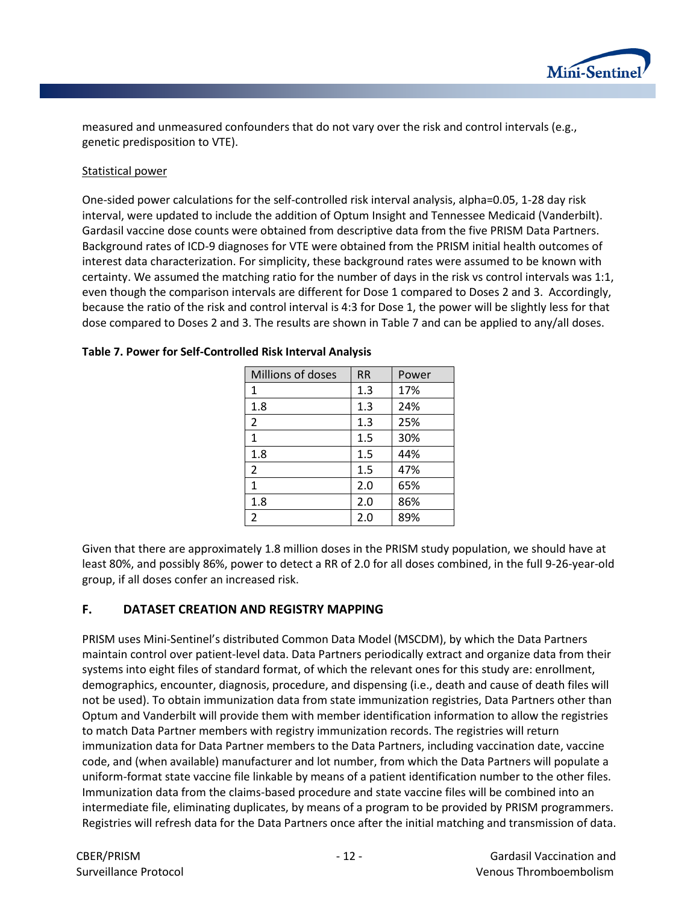

measured and unmeasured confounders that do not vary over the risk and control intervals (e.g., genetic predisposition to VTE).

#### Statistical power

One-sided power calculations for the self-controlled risk interval analysis, alpha=0.05, 1-28 day risk interval, were updated to include the addition of Optum Insight and Tennessee Medicaid (Vanderbilt). Gardasil vaccine dose counts were obtained from descriptive data from the five PRISM Data Partners. Background rates of ICD-9 diagnoses for VTE were obtained from the PRISM initial health outcomes of interest data characterization. For simplicity, these background rates were assumed to be known with certainty. We assumed the matching ratio for the number of days in the risk vs control intervals was 1:1, even though the comparison intervals are different for Dose 1 compared to Doses 2 and 3. Accordingly, because the ratio of the risk and control interval is 4:3 for Dose 1, the power will be slightly less for that dose compared to Doses 2 and 3. The results are shown in [Table 7](#page-15-0) and can be applied to any/all doses.

| Millions of doses | <b>RR</b> | Power |
|-------------------|-----------|-------|
| 1                 | 1.3       | 17%   |
| 1.8               | 1.3       | 24%   |
| 2                 | 1.3       | 25%   |
| 1                 | 1.5       | 30%   |
| 1.8               | 1.5       | 44%   |
| $\overline{2}$    | 1.5       | 47%   |
| $\mathbf{1}$      | 2.0       | 65%   |
| 1.8               | 2.0       | 86%   |
| 2                 | 2.0       | 89%   |

#### <span id="page-15-0"></span>**Table 7. Power for Self-Controlled Risk Interval Analysis**

Given that there are approximately 1.8 million doses in the PRISM study population, we should have at least 80%, and possibly 86%, power to detect a RR of 2.0 for all doses combined, in the full 9-26-year-old group, if all doses confer an increased risk.

#### **F. DATASET CREATION AND REGISTRY MAPPING**

PRISM uses Mini-Sentinel's distributed Common Data Model (MSCDM), by which the Data Partners maintain control over patient-level data. Data Partners periodically extract and organize data from their systems into eight files of standard format, of which the relevant ones for this study are: enrollment, demographics, encounter, diagnosis, procedure, and dispensing (i.e., death and cause of death files will not be used). To obtain immunization data from state immunization registries, Data Partners other than Optum and Vanderbilt will provide them with member identification information to allow the registries to match Data Partner members with registry immunization records. The registries will return immunization data for Data Partner members to the Data Partners, including vaccination date, vaccine code, and (when available) manufacturer and lot number, from which the Data Partners will populate a uniform-format state vaccine file linkable by means of a patient identification number to the other files. Immunization data from the claims-based procedure and state vaccine files will be combined into an intermediate file, eliminating duplicates, by means of a program to be provided by PRISM programmers. Registries will refresh data for the Data Partners once after the initial matching and transmission of data.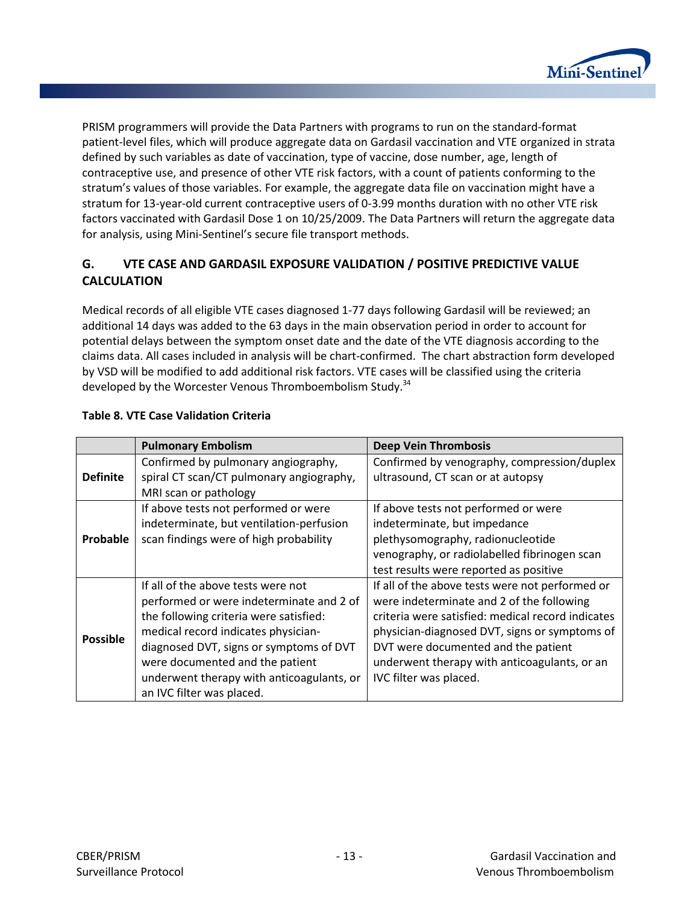

PRISM programmers will provide the Data Partners with programs to run on the standard-format patient-level files, which will produce aggregate data on Gardasil vaccination and VTE organized in strata defined by such variables as date of vaccination, type of vaccine, dose number, age, length of contraceptive use, and presence of other VTE risk factors, with a count of patients conforming to the stratum's values of those variables. For example, the aggregate data file on vaccination might have a stratum for 13-year-old current contraceptive users of 0-3.99 months duration with no other VTE risk factors vaccinated with Gardasil Dose 1 on 10/25/2009. The Data Partners will return the aggregate data for analysis, using Mini-Sentinel's secure file transport methods.

### **G. VTE CASE AND GARDASIL EXPOSURE VALIDATION / POSITIVE PREDICTIVE VALUE CALCULATION**

Medical records of all eligible VTE cases diagnosed 1-77 days following Gardasil will be reviewed; an additional 14 days was added to the 63 days in the main observation period in order to account for potential delays between the symptom onset date and the date of the VTE diagnosis according to the claims data. All cases included in analysis will be chart-confirmed. The chart abstraction form developed by VSD will be modified to add additional risk factors. VTE cases will be classified using the criteria developed by the Worcester Venous Thromboembolism Study.<sup>34</sup>

|                 | <b>Pulmonary Embolism</b>                 | <b>Deep Vein Thrombosis</b>                       |
|-----------------|-------------------------------------------|---------------------------------------------------|
|                 | Confirmed by pulmonary angiography,       | Confirmed by venography, compression/duplex       |
| <b>Definite</b> | spiral CT scan/CT pulmonary angiography,  | ultrasound, CT scan or at autopsy                 |
|                 | MRI scan or pathology                     |                                                   |
|                 | If above tests not performed or were      | If above tests not performed or were              |
|                 | indeterminate, but ventilation-perfusion  | indeterminate, but impedance                      |
| Probable        | scan findings were of high probability    | plethysomography, radionucleotide                 |
|                 |                                           | venography, or radiolabelled fibrinogen scan      |
|                 |                                           | test results were reported as positive            |
|                 | If all of the above tests were not        | If all of the above tests were not performed or   |
|                 | performed or were indeterminate and 2 of  | were indeterminate and 2 of the following         |
|                 | the following criteria were satisfied:    | criteria were satisfied: medical record indicates |
|                 | medical record indicates physician-       | physician-diagnosed DVT, signs or symptoms of     |
| <b>Possible</b> | diagnosed DVT, signs or symptoms of DVT   | DVT were documented and the patient               |
|                 | were documented and the patient           | underwent therapy with anticoagulants, or an      |
|                 | underwent therapy with anticoagulants, or | IVC filter was placed.                            |
|                 | an IVC filter was placed.                 |                                                   |

#### **Table 8. VTE Case Validation Criteria**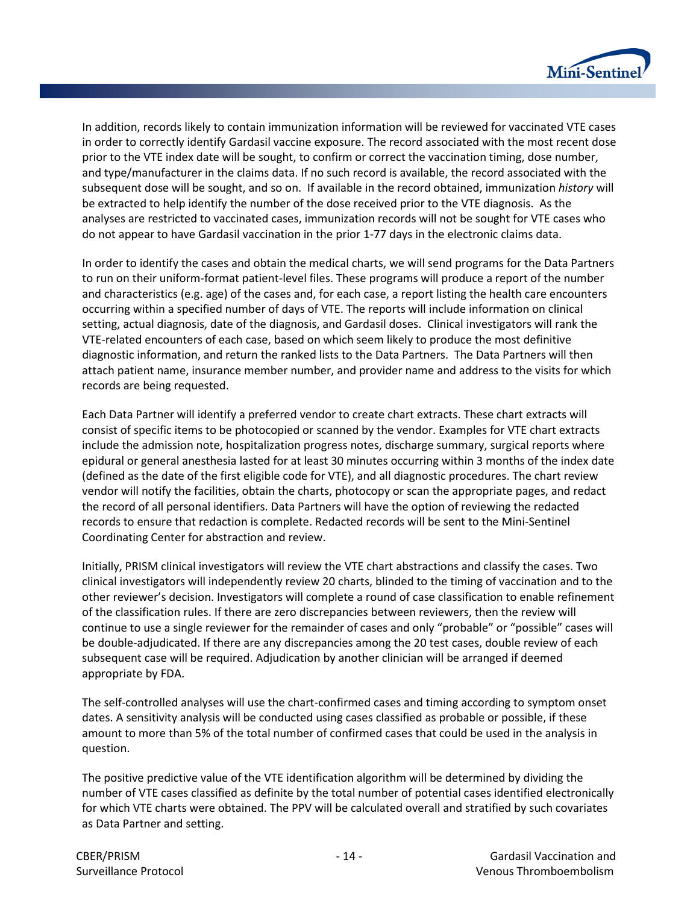

In addition, records likely to contain immunization information will be reviewed for vaccinated VTE cases in order to correctly identify Gardasil vaccine exposure. The record associated with the most recent dose prior to the VTE index date will be sought, to confirm or correct the vaccination timing, dose number, and type/manufacturer in the claims data. If no such record is available, the record associated with the subsequent dose will be sought, and so on. If available in the record obtained, immunization *history* will be extracted to help identify the number of the dose received prior to the VTE diagnosis. As the analyses are restricted to vaccinated cases, immunization records will not be sought for VTE cases who do not appear to have Gardasil vaccination in the prior 1-77 days in the electronic claims data.

In order to identify the cases and obtain the medical charts, we will send programs for the Data Partners to run on their uniform-format patient-level files. These programs will produce a report of the number and characteristics (e.g. age) of the cases and, for each case, a report listing the health care encounters occurring within a specified number of days of VTE. The reports will include information on clinical setting, actual diagnosis, date of the diagnosis, and Gardasil doses. Clinical investigators will rank the VTE-related encounters of each case, based on which seem likely to produce the most definitive diagnostic information, and return the ranked lists to the Data Partners. The Data Partners will then attach patient name, insurance member number, and provider name and address to the visits for which records are being requested.

Each Data Partner will identify a preferred vendor to create chart extracts. These chart extracts will consist of specific items to be photocopied or scanned by the vendor. Examples for VTE chart extracts include the admission note, hospitalization progress notes, discharge summary, surgical reports where epidural or general anesthesia lasted for at least 30 minutes occurring within 3 months of the index date (defined as the date of the first eligible code for VTE), and all diagnostic procedures. The chart review vendor will notify the facilities, obtain the charts, photocopy or scan the appropriate pages, and redact the record of all personal identifiers. Data Partners will have the option of reviewing the redacted records to ensure that redaction is complete. Redacted records will be sent to the Mini-Sentinel Coordinating Center for abstraction and review.

Initially, PRISM clinical investigators will review the VTE chart abstractions and classify the cases. Two clinical investigators will independently review 20 charts, blinded to the timing of vaccination and to the other reviewer's decision. Investigators will complete a round of case classification to enable refinement of the classification rules. If there are zero discrepancies between reviewers, then the review will continue to use a single reviewer for the remainder of cases and only "probable" or "possible" cases will be double-adjudicated. If there are any discrepancies among the 20 test cases, double review of each subsequent case will be required. Adjudication by another clinician will be arranged if deemed appropriate by FDA.

The self-controlled analyses will use the chart-confirmed cases and timing according to symptom onset dates. A sensitivity analysis will be conducted using cases classified as probable or possible, if these amount to more than 5% of the total number of confirmed cases that could be used in the analysis in question.

The positive predictive value of the VTE identification algorithm will be determined by dividing the number of VTE cases classified as definite by the total number of potential cases identified electronically for which VTE charts were obtained. The PPV will be calculated overall and stratified by such covariates as Data Partner and setting.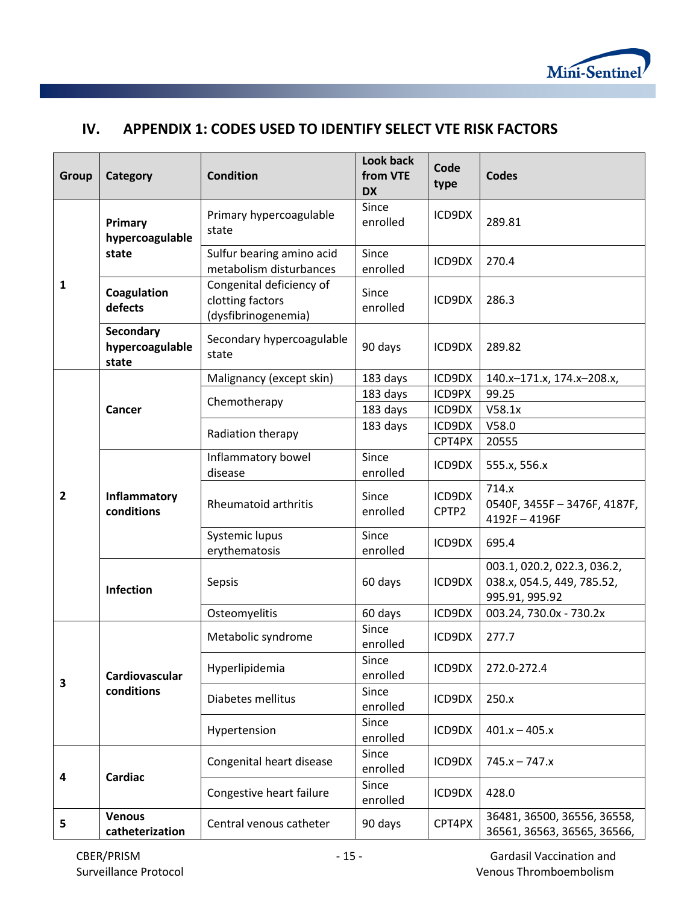

# <span id="page-18-0"></span>**IV. APPENDIX 1: CODES USED TO IDENTIFY SELECT VTE RISK FACTORS**

| Group          | Category                              | <b>Condition</b>                                                    | <b>Look back</b><br>from VTE<br><b>DX</b> | Code<br>type    | <b>Codes</b>                                                                |
|----------------|---------------------------------------|---------------------------------------------------------------------|-------------------------------------------|-----------------|-----------------------------------------------------------------------------|
|                | Primary<br>hypercoagulable            | Primary hypercoagulable<br>state                                    | Since<br>enrolled                         | ICD9DX          | 289.81                                                                      |
|                | state                                 | Sulfur bearing amino acid<br>metabolism disturbances                | <b>Since</b><br>enrolled                  | ICD9DX          | 270.4                                                                       |
| 1              | Coagulation<br>defects                | Congenital deficiency of<br>clotting factors<br>(dysfibrinogenemia) | Since<br>enrolled                         | ICD9DX          | 286.3                                                                       |
|                | Secondary<br>hypercoagulable<br>state | Secondary hypercoagulable<br>state                                  | 90 days                                   | ICD9DX          | 289.82                                                                      |
|                |                                       | Malignancy (except skin)                                            | 183 days                                  | ICD9DX          | 140.x-171.x, 174.x-208.x,                                                   |
|                |                                       | Chemotherapy                                                        | 183 days                                  | ICD9PX          | 99.25                                                                       |
|                | Cancer                                |                                                                     | 183 days                                  | ICD9DX          | V58.1x                                                                      |
|                |                                       | Radiation therapy                                                   | 183 days                                  | ICD9DX          | V58.0                                                                       |
|                |                                       |                                                                     |                                           | CPT4PX          | 20555                                                                       |
|                | Inflammatory<br>conditions            | Inflammatory bowel<br>disease                                       | Since<br>enrolled                         | ICD9DX          | 555.x, 556.x                                                                |
| $\overline{2}$ |                                       | Rheumatoid arthritis                                                | Since<br>enrolled                         | ICD9DX<br>CPTP2 | 714.x<br>0540F, 3455F - 3476F, 4187F,<br>4192F-4196F                        |
|                |                                       | Systemic lupus<br>erythematosis                                     | Since<br>enrolled                         | ICD9DX          | 695.4                                                                       |
|                | <b>Infection</b>                      | Sepsis                                                              | 60 days                                   | ICD9DX          | 003.1, 020.2, 022.3, 036.2,<br>038.x, 054.5, 449, 785.52,<br>995.91, 995.92 |
|                |                                       | Osteomyelitis                                                       | 60 days                                   | ICD9DX          | 003.24, 730.0x - 730.2x                                                     |
|                |                                       | Metabolic syndrome                                                  | Since<br>enrolled                         | ICD9DX          | 277.7                                                                       |
| 3              | Cardiovascular                        | Hyperlipidemia                                                      | Since<br>enrolled                         | ICD9DX          | 272.0-272.4                                                                 |
|                | conditions                            | Diabetes mellitus                                                   |                                           | ICD9DX          | 250.x                                                                       |
|                |                                       | Hypertension                                                        | Since<br>enrolled                         | ICD9DX          | $401.x - 405.x$                                                             |
| 4              | Cardiac                               | Congenital heart disease                                            | Since<br>enrolled                         | ICD9DX          | $745.x - 747.x$                                                             |
|                |                                       | Congestive heart failure                                            | Since<br>enrolled                         | ICD9DX          | 428.0                                                                       |
| 5              | <b>Venous</b><br>catheterization      | Central venous catheter                                             | 90 days                                   | CPT4PX          | 36481, 36500, 36556, 36558,<br>36561, 36563, 36565, 36566,                  |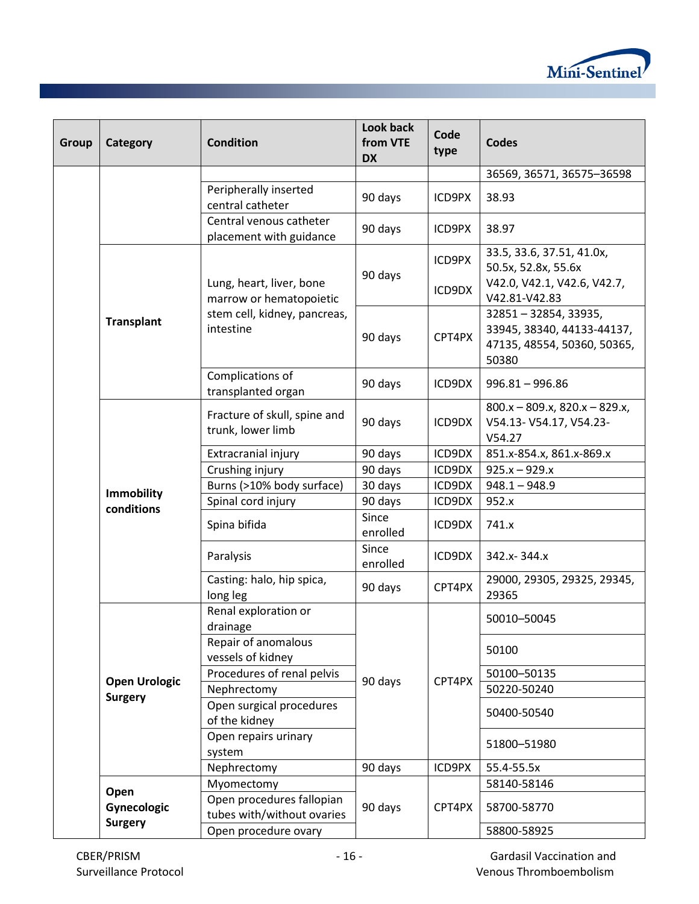

| Group | Category                        | <b>Condition</b>                                        | Look back<br>from VTE<br><b>DX</b> | Code<br>type     | <b>Codes</b>                                                                                     |
|-------|---------------------------------|---------------------------------------------------------|------------------------------------|------------------|--------------------------------------------------------------------------------------------------|
|       |                                 |                                                         |                                    |                  | 36569, 36571, 36575-36598                                                                        |
|       |                                 | Peripherally inserted<br>central catheter               | 90 days                            | ICD9PX           | 38.93                                                                                            |
|       |                                 | Central venous catheter<br>placement with guidance      | 90 days                            | ICD9PX           | 38.97                                                                                            |
|       |                                 | Lung, heart, liver, bone<br>marrow or hematopoietic     | 90 days                            | ICD9PX<br>ICD9DX | 33.5, 33.6, 37.51, 41.0x,<br>50.5x, 52.8x, 55.6x<br>V42.0, V42.1, V42.6, V42.7,<br>V42.81-V42.83 |
|       | <b>Transplant</b>               | stem cell, kidney, pancreas,<br>intestine               | 90 days                            | CPT4PX           | 32851-32854, 33935,<br>33945, 38340, 44133-44137,<br>47135, 48554, 50360, 50365,<br>50380        |
|       |                                 | Complications of<br>transplanted organ                  | 90 days                            | ICD9DX           | $996.81 - 996.86$                                                                                |
|       | <b>Immobility</b><br>conditions | Fracture of skull, spine and<br>trunk, lower limb       | 90 days                            | ICD9DX           | $800.x - 809.x$ , $820.x - 829.x$ ,<br>V54.13-V54.17, V54.23-<br>V54.27                          |
|       |                                 | Extracranial injury                                     | 90 days                            | ICD9DX           | 851.x-854.x, 861.x-869.x                                                                         |
|       |                                 | Crushing injury                                         | 90 days                            | ICD9DX           | $925.x - 929.x$                                                                                  |
|       |                                 | Burns (>10% body surface)                               | 30 days                            | ICD9DX           | $948.1 - 948.9$                                                                                  |
|       |                                 | Spinal cord injury                                      | 90 days                            | ICD9DX           | 952.x                                                                                            |
|       |                                 | Spina bifida                                            | Since<br>enrolled                  | ICD9DX           | 741.x                                                                                            |
|       |                                 | Paralysis                                               | Since<br>enrolled                  | ICD9DX           | 342.x-344.x                                                                                      |
|       |                                 | Casting: halo, hip spica,<br>long leg                   | 90 days                            | CPT4PX           | 29000, 29305, 29325, 29345,<br>29365                                                             |
|       |                                 | Renal exploration or<br>drainage                        |                                    |                  | 50010-50045                                                                                      |
|       |                                 | Repair of anomalous<br>vessels of kidney                |                                    |                  | 50100                                                                                            |
|       | <b>Open Urologic</b>            | Procedures of renal pelvis                              | 90 days                            | CPT4PX           | 50100-50135                                                                                      |
|       | <b>Surgery</b>                  | Nephrectomy                                             |                                    |                  | 50220-50240                                                                                      |
|       |                                 | Open surgical procedures<br>of the kidney               |                                    |                  | 50400-50540                                                                                      |
|       |                                 | Open repairs urinary<br>system                          |                                    |                  | 51800-51980                                                                                      |
|       |                                 | Nephrectomy                                             | 90 days                            | ICD9PX           | 55.4-55.5x                                                                                       |
|       |                                 | Myomectomy                                              |                                    |                  | 58140-58146                                                                                      |
|       | Open<br>Gynecologic             | Open procedures fallopian<br>tubes with/without ovaries | 90 days                            | CPT4PX           | 58700-58770                                                                                      |
|       | <b>Surgery</b>                  | Open procedure ovary                                    |                                    |                  | 58800-58925                                                                                      |

CBER/PRISM - 16 - CBER/PRISM - 16 - CBER/PRISM Surveillance Protocol and The Controller Controller Controller May be Venous Thromboembolism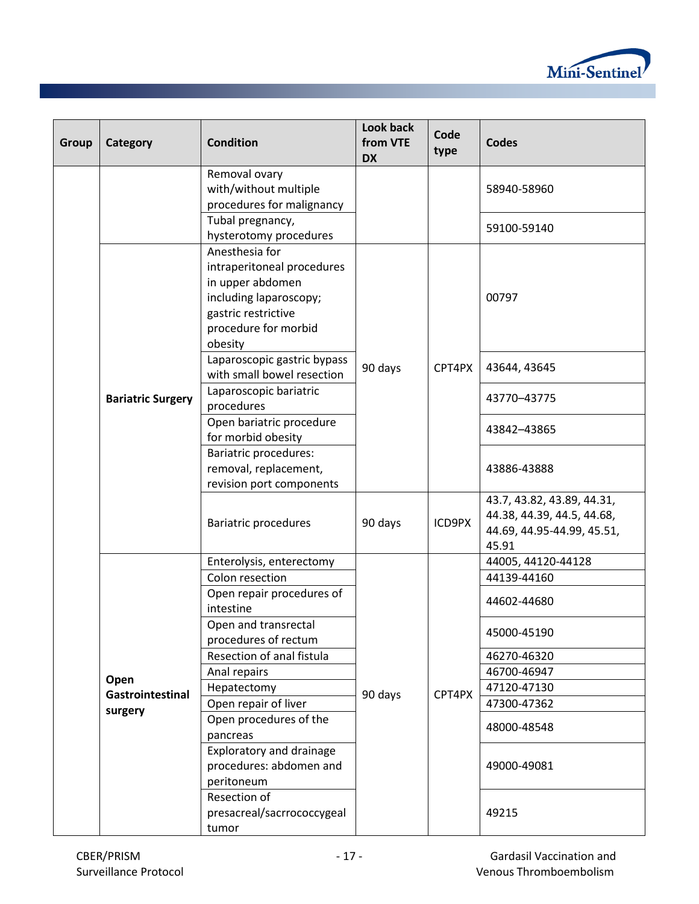

| Group | Category                 | <b>Condition</b>                                                  | Look back<br>from VTE<br><b>DX</b> | Code<br>type | <b>Codes</b>                                                                                    |
|-------|--------------------------|-------------------------------------------------------------------|------------------------------------|--------------|-------------------------------------------------------------------------------------------------|
|       |                          | Removal ovary                                                     |                                    |              |                                                                                                 |
|       |                          | with/without multiple                                             |                                    |              | 58940-58960                                                                                     |
|       |                          | procedures for malignancy                                         |                                    |              |                                                                                                 |
|       |                          | Tubal pregnancy,<br>hysterotomy procedures                        |                                    |              | 59100-59140                                                                                     |
|       |                          | Anesthesia for                                                    |                                    |              |                                                                                                 |
|       |                          | intraperitoneal procedures                                        |                                    |              |                                                                                                 |
|       |                          | in upper abdomen                                                  |                                    |              |                                                                                                 |
|       |                          | including laparoscopy;                                            |                                    |              | 00797                                                                                           |
|       |                          | gastric restrictive                                               |                                    |              |                                                                                                 |
|       |                          | procedure for morbid                                              |                                    |              |                                                                                                 |
|       |                          | obesity                                                           |                                    |              |                                                                                                 |
|       |                          | Laparoscopic gastric bypass<br>with small bowel resection         | 90 days                            | CPT4PX       | 43644, 43645                                                                                    |
|       | <b>Bariatric Surgery</b> | Laparoscopic bariatric<br>procedures                              |                                    |              | 43770-43775                                                                                     |
|       |                          | Open bariatric procedure                                          |                                    |              | 43842-43865                                                                                     |
|       |                          | for morbid obesity                                                |                                    |              |                                                                                                 |
|       |                          | <b>Bariatric procedures:</b>                                      |                                    |              |                                                                                                 |
|       |                          | removal, replacement,                                             |                                    |              | 43886-43888                                                                                     |
|       |                          | revision port components                                          |                                    |              |                                                                                                 |
|       |                          | <b>Bariatric procedures</b>                                       | 90 days                            | ICD9PX       | 43.7, 43.82, 43.89, 44.31,<br>44.38, 44.39, 44.5, 44.68,<br>44.69, 44.95-44.99, 45.51,<br>45.91 |
|       |                          | Enterolysis, enterectomy                                          |                                    |              | 44005, 44120-44128                                                                              |
|       |                          | Colon resection                                                   |                                    |              | 44139-44160                                                                                     |
|       |                          | Open repair procedures of                                         |                                    |              |                                                                                                 |
|       |                          | intestine                                                         |                                    |              | 44602-44680                                                                                     |
|       |                          | Open and transrectal                                              |                                    |              | 45000-45190                                                                                     |
|       |                          | procedures of rectum                                              |                                    |              |                                                                                                 |
|       |                          | Resection of anal fistula                                         |                                    |              | 46270-46320                                                                                     |
|       | Open                     | Anal repairs                                                      |                                    |              | 46700-46947                                                                                     |
|       | Gastrointestinal         | Hepatectomy                                                       | 90 days                            | CPT4PX       | 47120-47130                                                                                     |
|       | surgery                  | Open repair of liver                                              |                                    |              | 47300-47362                                                                                     |
|       |                          | Open procedures of the<br>pancreas                                |                                    |              | 48000-48548                                                                                     |
|       |                          | Exploratory and drainage<br>procedures: abdomen and<br>peritoneum |                                    |              | 49000-49081                                                                                     |
|       |                          | Resection of<br>presacreal/sacrrococcygeal<br>tumor               |                                    |              | 49215                                                                                           |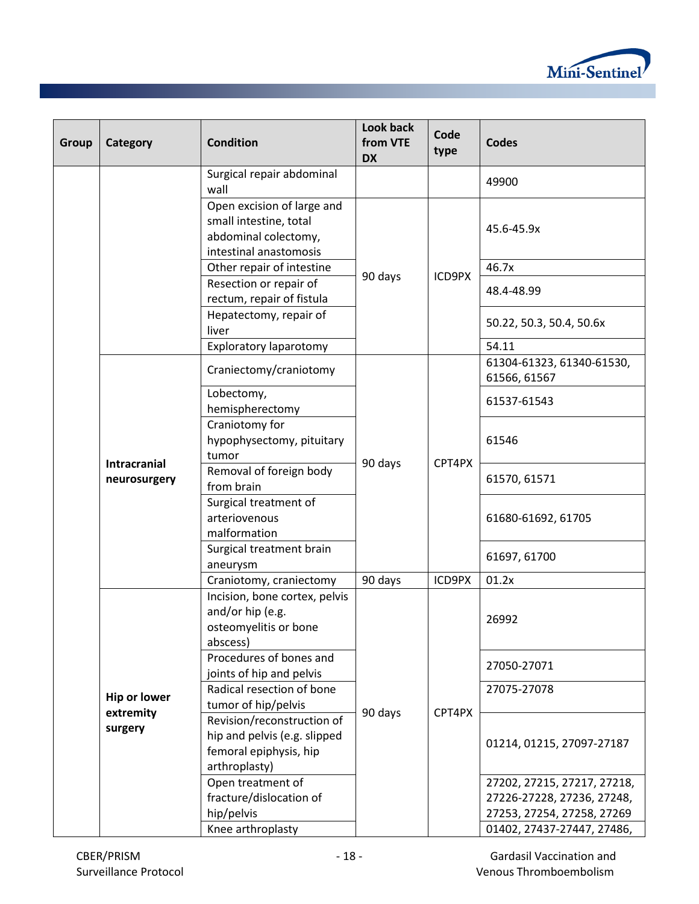

| Surgical repair abdominal<br>49900<br>wall<br>Open excision of large and<br>small intestine, total<br>45.6-45.9x<br>abdominal colectomy,<br>intestinal anastomosis<br>Other repair of intestine<br>46.7x<br>90 days<br>ICD9PX<br>Resection or repair of<br>48.4-48.99<br>rectum, repair of fistula<br>Hepatectomy, repair of<br>50.22, 50.3, 50.4, 50.6x<br>liver<br>54.11<br><b>Exploratory laparotomy</b><br>61304-61323, 61340-61530,<br>Craniectomy/craniotomy<br>61566, 61567<br>Lobectomy,<br>61537-61543<br>hemispherectomy<br>Craniotomy for<br>hypophysectomy, pituitary<br>61546<br>tumor<br>90 days<br>CPT4PX<br><b>Intracranial</b><br>Removal of foreign body<br>61570, 61571<br>neurosurgery<br>from brain<br>Surgical treatment of<br>arteriovenous<br>61680-61692, 61705 |  |
|------------------------------------------------------------------------------------------------------------------------------------------------------------------------------------------------------------------------------------------------------------------------------------------------------------------------------------------------------------------------------------------------------------------------------------------------------------------------------------------------------------------------------------------------------------------------------------------------------------------------------------------------------------------------------------------------------------------------------------------------------------------------------------------|--|
|                                                                                                                                                                                                                                                                                                                                                                                                                                                                                                                                                                                                                                                                                                                                                                                          |  |
|                                                                                                                                                                                                                                                                                                                                                                                                                                                                                                                                                                                                                                                                                                                                                                                          |  |
|                                                                                                                                                                                                                                                                                                                                                                                                                                                                                                                                                                                                                                                                                                                                                                                          |  |
|                                                                                                                                                                                                                                                                                                                                                                                                                                                                                                                                                                                                                                                                                                                                                                                          |  |
|                                                                                                                                                                                                                                                                                                                                                                                                                                                                                                                                                                                                                                                                                                                                                                                          |  |
|                                                                                                                                                                                                                                                                                                                                                                                                                                                                                                                                                                                                                                                                                                                                                                                          |  |
|                                                                                                                                                                                                                                                                                                                                                                                                                                                                                                                                                                                                                                                                                                                                                                                          |  |
|                                                                                                                                                                                                                                                                                                                                                                                                                                                                                                                                                                                                                                                                                                                                                                                          |  |
|                                                                                                                                                                                                                                                                                                                                                                                                                                                                                                                                                                                                                                                                                                                                                                                          |  |
|                                                                                                                                                                                                                                                                                                                                                                                                                                                                                                                                                                                                                                                                                                                                                                                          |  |
| malformation                                                                                                                                                                                                                                                                                                                                                                                                                                                                                                                                                                                                                                                                                                                                                                             |  |
| Surgical treatment brain<br>61697, 61700<br>aneurysm                                                                                                                                                                                                                                                                                                                                                                                                                                                                                                                                                                                                                                                                                                                                     |  |
| 90 days<br>ICD9PX<br>01.2x<br>Craniotomy, craniectomy                                                                                                                                                                                                                                                                                                                                                                                                                                                                                                                                                                                                                                                                                                                                    |  |
| Incision, bone cortex, pelvis<br>and/or hip (e.g.<br>26992<br>osteomyelitis or bone<br>abscess)                                                                                                                                                                                                                                                                                                                                                                                                                                                                                                                                                                                                                                                                                          |  |
| Procedures of bones and<br>27050-27071<br>joints of hip and pelvis                                                                                                                                                                                                                                                                                                                                                                                                                                                                                                                                                                                                                                                                                                                       |  |
| Radical resection of bone<br>27075-27078<br><b>Hip or lower</b><br>tumor of hip/pelvis                                                                                                                                                                                                                                                                                                                                                                                                                                                                                                                                                                                                                                                                                                   |  |
| 90 days<br>CPT4PX<br>extremity<br>Revision/reconstruction of<br>surgery<br>hip and pelvis (e.g. slipped<br>01214, 01215, 27097-27187<br>femoral epiphysis, hip<br>arthroplasty)                                                                                                                                                                                                                                                                                                                                                                                                                                                                                                                                                                                                          |  |
| Open treatment of<br>27202, 27215, 27217, 27218,<br>fracture/dislocation of<br>27226-27228, 27236, 27248,<br>hip/pelvis<br>27253, 27254, 27258, 27269<br>Knee arthroplasty<br>01402, 27437-27447, 27486,                                                                                                                                                                                                                                                                                                                                                                                                                                                                                                                                                                                 |  |

CBER/PRISM - 18 - 18 - CBER/PRISM - 18 - CBER/PRISM Surveillance Protocol and The Controller Controller Controller May be Venous Thromboembolism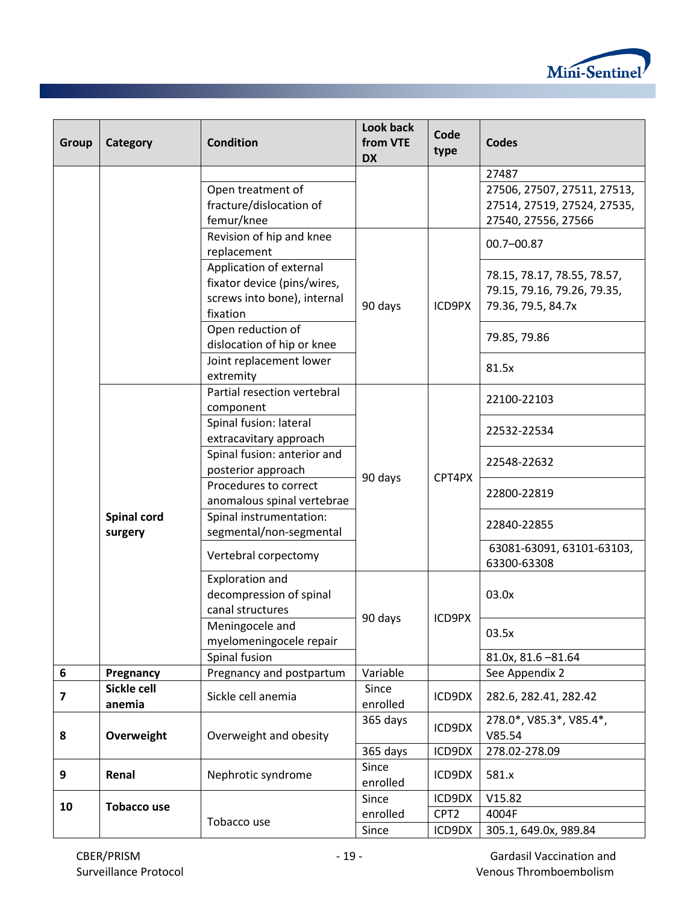

| Group                   | Category              | <b>Condition</b>                                      | <b>Look back</b><br>from VTE<br><b>DX</b> | Code<br>type     | <b>Codes</b>                             |
|-------------------------|-----------------------|-------------------------------------------------------|-------------------------------------------|------------------|------------------------------------------|
|                         |                       |                                                       |                                           |                  | 27487                                    |
|                         |                       | Open treatment of                                     |                                           |                  | 27506, 27507, 27511, 27513,              |
|                         |                       | fracture/dislocation of                               |                                           |                  | 27514, 27519, 27524, 27535,              |
|                         |                       | femur/knee                                            |                                           |                  | 27540, 27556, 27566                      |
|                         |                       | Revision of hip and knee                              |                                           |                  | $00.7 - 00.87$                           |
|                         |                       | replacement                                           |                                           |                  |                                          |
|                         |                       | Application of external                               |                                           |                  | 78.15, 78.17, 78.55, 78.57,              |
|                         |                       | fixator device (pins/wires,                           |                                           |                  | 79.15, 79.16, 79.26, 79.35,              |
|                         |                       | screws into bone), internal                           | 90 days                                   | ICD9PX           | 79.36, 79.5, 84.7x                       |
|                         |                       | fixation                                              |                                           |                  |                                          |
|                         |                       | Open reduction of                                     |                                           |                  | 79.85, 79.86                             |
|                         |                       | dislocation of hip or knee<br>Joint replacement lower |                                           |                  |                                          |
|                         |                       | extremity                                             |                                           |                  | 81.5x                                    |
|                         |                       | Partial resection vertebral                           |                                           |                  |                                          |
|                         |                       | component                                             |                                           |                  | 22100-22103                              |
|                         |                       | Spinal fusion: lateral                                |                                           |                  |                                          |
|                         |                       | extracavitary approach                                |                                           | CPT4PX           | 22532-22534                              |
|                         |                       | Spinal fusion: anterior and                           |                                           |                  |                                          |
|                         |                       | posterior approach                                    |                                           |                  | 22548-22632                              |
|                         |                       | Procedures to correct                                 | 90 days                                   |                  |                                          |
|                         |                       | anomalous spinal vertebrae                            |                                           |                  | 22800-22819                              |
|                         | <b>Spinal cord</b>    | Spinal instrumentation:                               |                                           |                  | 22840-22855                              |
|                         | surgery               | segmental/non-segmental                               |                                           |                  |                                          |
|                         |                       | Vertebral corpectomy                                  |                                           |                  | 63081-63091, 63101-63103,<br>63300-63308 |
|                         |                       | <b>Exploration and</b>                                |                                           |                  |                                          |
|                         |                       | decompression of spinal                               |                                           |                  | 03.0x                                    |
|                         |                       | canal structures                                      | 90 days                                   | ICD9PX           |                                          |
|                         |                       | Meningocele and                                       |                                           |                  | 03.5x                                    |
|                         |                       | myelomeningocele repair                               |                                           |                  |                                          |
|                         |                       | Spinal fusion                                         |                                           |                  | 81.0x, 81.6 - 81.64                      |
| 6                       | Pregnancy             | Pregnancy and postpartum                              | Variable                                  |                  | See Appendix 2                           |
| $\overline{\mathbf{z}}$ | Sickle cell<br>anemia | Sickle cell anemia                                    | Since<br>enrolled                         | ICD9DX           | 282.6, 282.41, 282.42                    |
|                         |                       |                                                       | 365 days                                  | ICD9DX           | 278.0*, V85.3*, V85.4*,                  |
| 8                       | Overweight            | Overweight and obesity                                |                                           |                  | V85.54                                   |
|                         |                       |                                                       | 365 days                                  | ICD9DX           | 278.02-278.09                            |
| 9                       | Renal                 | Nephrotic syndrome                                    | Since<br>enrolled                         | ICD9DX           | 581.x                                    |
| 10                      | <b>Tobacco use</b>    |                                                       | Since                                     | ICD9DX           | V15.82                                   |
|                         |                       | Tobacco use                                           | enrolled                                  | CPT <sub>2</sub> | 4004F                                    |
|                         |                       |                                                       | Since                                     | ICD9DX           | 305.1, 649.0x, 989.84                    |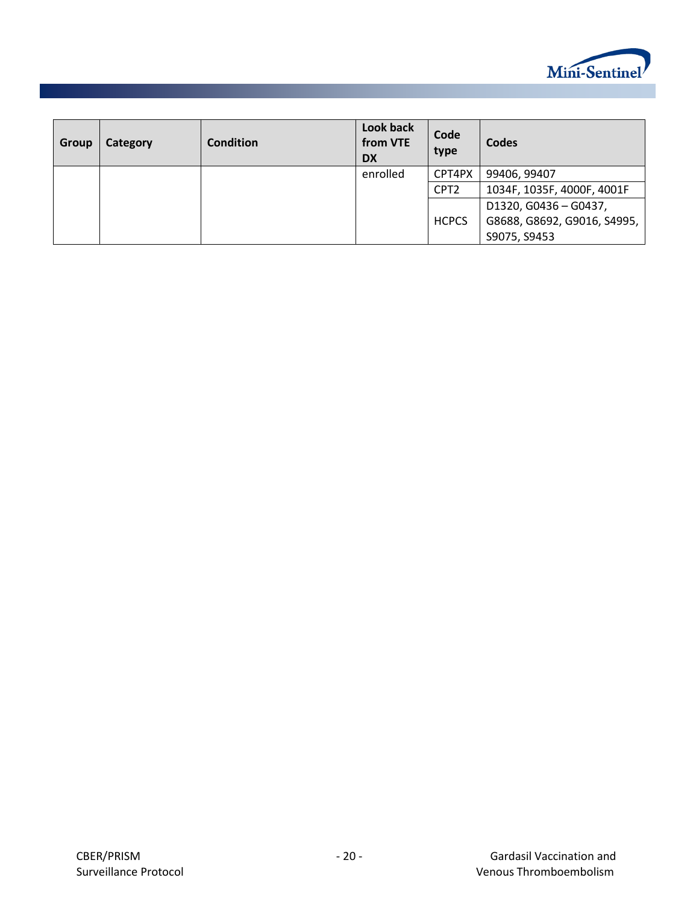

| Group | Category | <b>Condition</b> | Look back<br>from VTE<br><b>DX</b> | Code<br>type     | Codes                       |
|-------|----------|------------------|------------------------------------|------------------|-----------------------------|
|       |          |                  | enrolled                           | CPT4PX           | 99406, 99407                |
|       |          |                  |                                    | CPT <sub>2</sub> | 1034F, 1035F, 4000F, 4001F  |
|       |          |                  |                                    |                  | D1320, G0436 - G0437,       |
|       |          |                  |                                    | <b>HCPCS</b>     | G8688, G8692, G9016, S4995, |
|       |          |                  |                                    |                  | S9075, S9453                |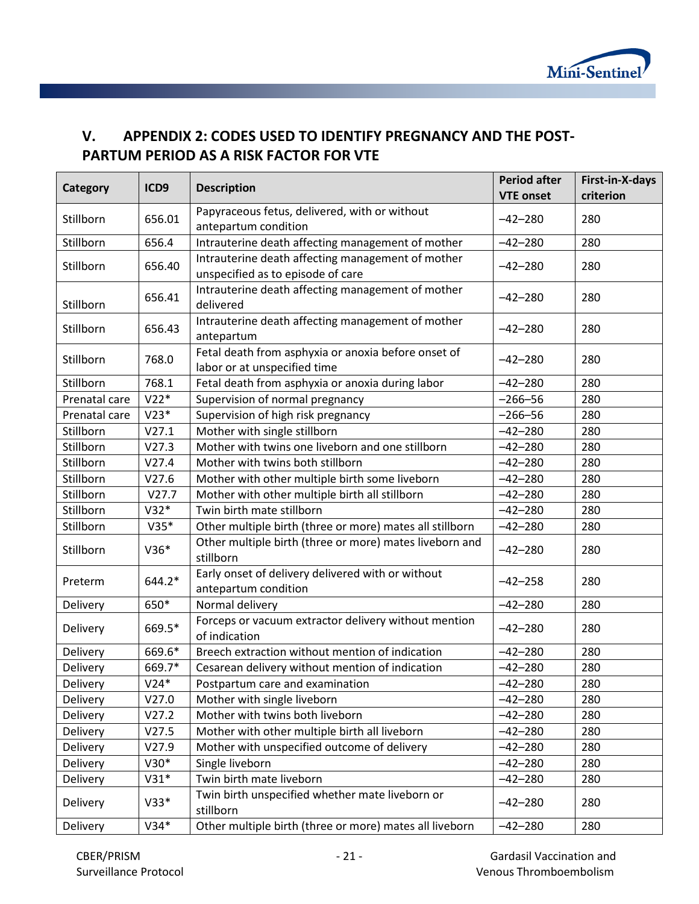

# <span id="page-24-0"></span>**V. APPENDIX 2: CODES USED TO IDENTIFY PREGNANCY AND THE POST-PARTUM PERIOD AS A RISK FACTOR FOR VTE**

| <b>Category</b> | ICD9   | <b>Description</b>                                                                     | <b>Period after</b> | First-in-X-days |
|-----------------|--------|----------------------------------------------------------------------------------------|---------------------|-----------------|
|                 |        |                                                                                        | <b>VTE onset</b>    | criterion       |
| Stillborn       | 656.01 | Papyraceous fetus, delivered, with or without<br>antepartum condition                  | $-42-280$           | 280             |
| Stillborn       | 656.4  | Intrauterine death affecting management of mother                                      | $-42-280$           | 280             |
| Stillborn       | 656.40 | Intrauterine death affecting management of mother<br>unspecified as to episode of care | $-42-280$           | 280             |
| Stillborn       | 656.41 | Intrauterine death affecting management of mother<br>delivered                         | $-42-280$           | 280             |
| Stillborn       | 656.43 | Intrauterine death affecting management of mother<br>antepartum                        | $-42-280$           | 280             |
| Stillborn       | 768.0  | Fetal death from asphyxia or anoxia before onset of<br>labor or at unspecified time    | $-42-280$           | 280             |
| Stillborn       | 768.1  | Fetal death from asphyxia or anoxia during labor                                       | $-42-280$           | 280             |
| Prenatal care   | $V22*$ | Supervision of normal pregnancy                                                        | $-266 - 56$         | 280             |
| Prenatal care   | $V23*$ | Supervision of high risk pregnancy                                                     | $-266 - 56$         | 280             |
| Stillborn       | V27.1  | Mother with single stillborn                                                           | $-42-280$           | 280             |
| Stillborn       | V27.3  | Mother with twins one liveborn and one stillborn                                       | $-42-280$           | 280             |
| Stillborn       | V27.4  | Mother with twins both stillborn                                                       | $-42-280$           | 280             |
| Stillborn       | V27.6  | Mother with other multiple birth some liveborn                                         | $-42-280$           | 280             |
| Stillborn       | V27.7  | Mother with other multiple birth all stillborn                                         | $-42-280$           | 280             |
| Stillborn       | $V32*$ | Twin birth mate stillborn                                                              | $-42-280$           | 280             |
| Stillborn       | $V35*$ | Other multiple birth (three or more) mates all stillborn                               | $-42-280$           | 280             |
| Stillborn       | $V36*$ | Other multiple birth (three or more) mates liveborn and<br>stillborn                   | $-42-280$           | 280             |
| Preterm         | 644.2* | Early onset of delivery delivered with or without<br>antepartum condition              | $-42-258$           | 280             |
| Delivery        | 650*   | Normal delivery                                                                        | $-42-280$           | 280             |
| Delivery        | 669.5* | Forceps or vacuum extractor delivery without mention<br>of indication                  | $-42-280$           | 280             |
| Delivery        | 669.6* | Breech extraction without mention of indication                                        | $-42-280$           | 280             |
| Delivery        | 669.7* | Cesarean delivery without mention of indication                                        | $-42-280$           | 280             |
| Delivery        | $V24*$ | Postpartum care and examination                                                        | $-42-280$           | 280             |
| Delivery        | V27.0  | Mother with single liveborn                                                            | $-42-280$           | 280             |
| Delivery        | V27.2  | Mother with twins both liveborn                                                        | $-42-280$           | 280             |
| Delivery        | V27.5  | Mother with other multiple birth all liveborn                                          | $-42-280$           | 280             |
| Delivery        | V27.9  | Mother with unspecified outcome of delivery                                            | $-42-280$           | 280             |
| Delivery        | $V30*$ | Single liveborn                                                                        | $-42-280$           | 280             |
| Delivery        | $V31*$ | Twin birth mate liveborn                                                               | $-42-280$           | 280             |
| <b>Delivery</b> | $V33*$ | Twin birth unspecified whether mate liveborn or<br>stillborn                           | $-42-280$           | 280             |
| Delivery        | $V34*$ | Other multiple birth (three or more) mates all liveborn                                | $-42-280$           | 280             |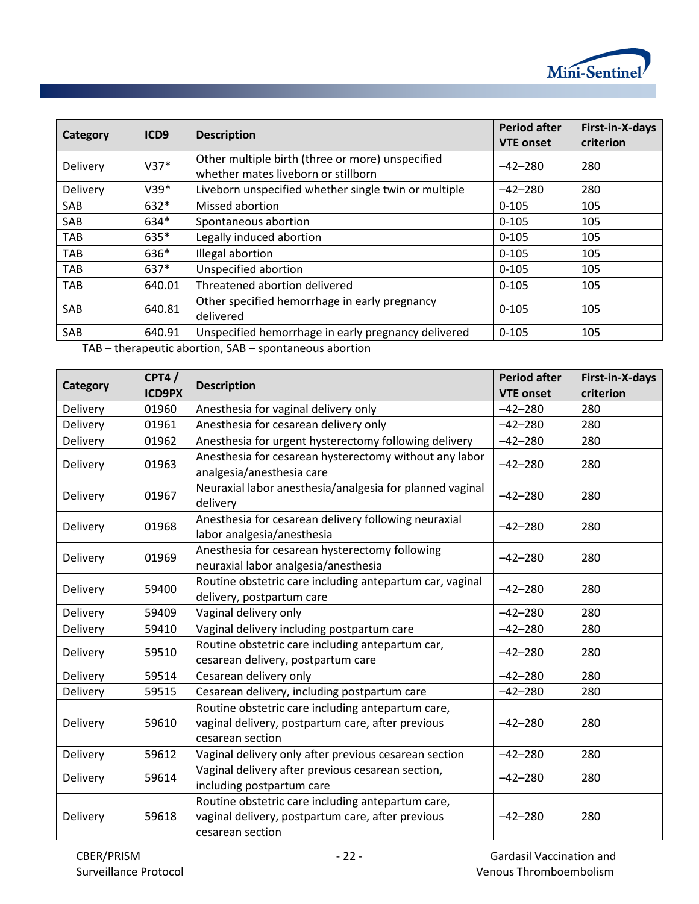

| Category   | ICD <sub>9</sub> | <b>Description</b>                                                                      | <b>Period after</b><br><b>VTE onset</b> | First-in-X-days<br>criterion |
|------------|------------------|-----------------------------------------------------------------------------------------|-----------------------------------------|------------------------------|
| Delivery   | $V37*$           | Other multiple birth (three or more) unspecified<br>whether mates liveborn or stillborn | $-42-280$                               | 280                          |
| Delivery   | $V39*$           | Liveborn unspecified whether single twin or multiple                                    | $-42-280$                               | 280                          |
| SAB        | 632*             | Missed abortion                                                                         | $0 - 105$                               | 105                          |
| SAB        | 634*             | Spontaneous abortion                                                                    | $0 - 105$                               | 105                          |
| TAB        | 635*             | Legally induced abortion                                                                | $0 - 105$                               | 105                          |
| <b>TAB</b> | 636*             | Illegal abortion                                                                        | $0 - 105$                               | 105                          |
| <b>TAB</b> | 637*             | Unspecified abortion                                                                    | $0 - 105$                               | 105                          |
| TAB        | 640.01           | Threatened abortion delivered                                                           | $0 - 105$                               | 105                          |
| SAB        | 640.81           | Other specified hemorrhage in early pregnancy<br>delivered                              | $0 - 105$                               | 105                          |
| SAB        | 640.91           | Unspecified hemorrhage in early pregnancy delivered                                     | $0 - 105$                               | 105                          |

TAB – therapeutic abortion, SAB – spontaneous abortion

| Category | CPT4/<br><b>ICD9PX</b> | <b>Description</b>                                                                                                         | <b>Period after</b><br><b>VTE onset</b> | First-in-X-days<br>criterion |
|----------|------------------------|----------------------------------------------------------------------------------------------------------------------------|-----------------------------------------|------------------------------|
| Delivery | 01960                  | Anesthesia for vaginal delivery only                                                                                       | $-42-280$                               | 280                          |
| Delivery | 01961                  | Anesthesia for cesarean delivery only                                                                                      | $-42-280$                               | 280                          |
| Delivery | 01962                  | Anesthesia for urgent hysterectomy following delivery                                                                      | $-42-280$                               | 280                          |
| Delivery | 01963                  | Anesthesia for cesarean hysterectomy without any labor<br>analgesia/anesthesia care                                        | $-42-280$                               | 280                          |
| Delivery | 01967                  | Neuraxial labor anesthesia/analgesia for planned vaginal<br>delivery                                                       | $-42-280$                               | 280                          |
| Delivery | 01968                  | Anesthesia for cesarean delivery following neuraxial<br>labor analgesia/anesthesia                                         | $-42-280$                               | 280                          |
| Delivery | 01969                  | Anesthesia for cesarean hysterectomy following<br>neuraxial labor analgesia/anesthesia                                     | $-42-280$                               | 280                          |
| Delivery | 59400                  | Routine obstetric care including antepartum car, vaginal<br>delivery, postpartum care                                      | $-42-280$                               | 280                          |
| Delivery | 59409                  | Vaginal delivery only                                                                                                      | $-42-280$                               | 280                          |
| Delivery | 59410                  | Vaginal delivery including postpartum care                                                                                 | $-42-280$                               | 280                          |
| Delivery | 59510                  | Routine obstetric care including antepartum car,<br>cesarean delivery, postpartum care                                     | $-42-280$                               | 280                          |
| Delivery | 59514                  | Cesarean delivery only                                                                                                     | $-42-280$                               | 280                          |
| Delivery | 59515                  | Cesarean delivery, including postpartum care                                                                               | $-42-280$                               | 280                          |
| Delivery | 59610                  | Routine obstetric care including antepartum care,<br>vaginal delivery, postpartum care, after previous<br>cesarean section | $-42-280$                               | 280                          |
| Delivery | 59612                  | Vaginal delivery only after previous cesarean section                                                                      | $-42-280$                               | 280                          |
| Delivery | 59614                  | Vaginal delivery after previous cesarean section,<br>including postpartum care                                             | $-42-280$                               | 280                          |
| Delivery | 59618                  | Routine obstetric care including antepartum care,<br>vaginal delivery, postpartum care, after previous<br>cesarean section | $-42-280$                               | 280                          |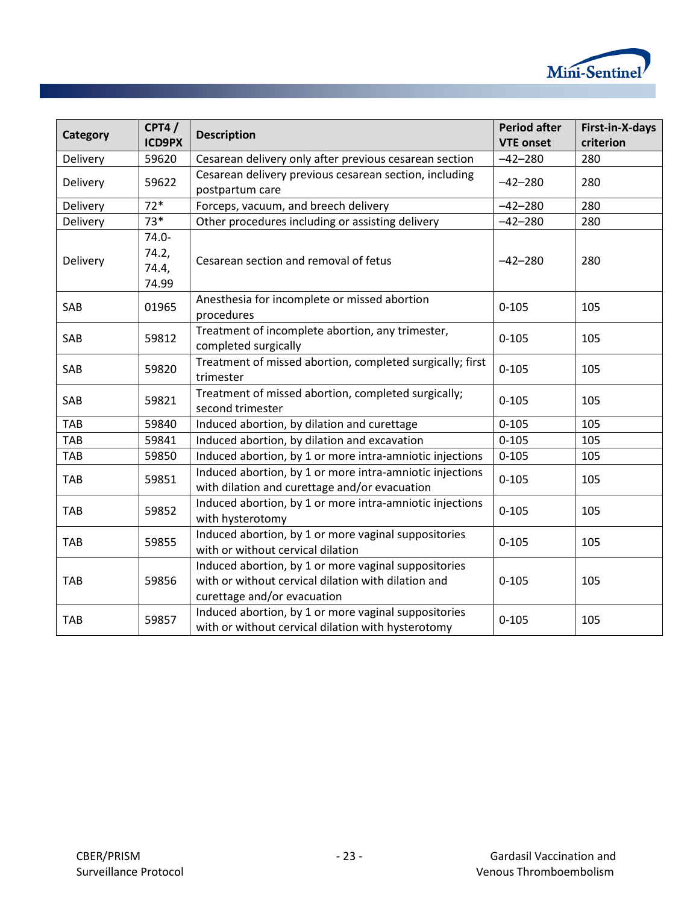

| Category   | CPT4/<br><b>ICD9PX</b>              | <b>Description</b>                                                                                                                         | <b>Period after</b><br><b>VTE onset</b> | First-in-X-days<br>criterion |
|------------|-------------------------------------|--------------------------------------------------------------------------------------------------------------------------------------------|-----------------------------------------|------------------------------|
| Delivery   | 59620                               | Cesarean delivery only after previous cesarean section                                                                                     | $-42-280$                               | 280                          |
| Delivery   | 59622                               | Cesarean delivery previous cesarean section, including<br>postpartum care                                                                  | $-42-280$                               | 280                          |
| Delivery   | $72*$                               | Forceps, vacuum, and breech delivery                                                                                                       | $-42-280$                               | 280                          |
| Delivery   | $73*$                               | Other procedures including or assisting delivery                                                                                           | $-42-280$                               | 280                          |
| Delivery   | $74.0 -$<br>74.2,<br>74.4,<br>74.99 | Cesarean section and removal of fetus                                                                                                      | $-42-280$                               | 280                          |
| SAB        | 01965                               | Anesthesia for incomplete or missed abortion<br>procedures                                                                                 | $0 - 105$                               | 105                          |
| SAB        | 59812                               | Treatment of incomplete abortion, any trimester,<br>completed surgically                                                                   | $0 - 105$                               | 105                          |
| SAB        | 59820                               | Treatment of missed abortion, completed surgically; first<br>trimester                                                                     | $0 - 105$                               | 105                          |
| SAB        | 59821                               | Treatment of missed abortion, completed surgically;<br>second trimester                                                                    | $0 - 105$                               | 105                          |
| TAB        | 59840                               | Induced abortion, by dilation and curettage                                                                                                | $0 - 105$                               | 105                          |
| <b>TAB</b> | 59841                               | Induced abortion, by dilation and excavation                                                                                               | $0 - 105$                               | 105                          |
| TAB        | 59850                               | Induced abortion, by 1 or more intra-amniotic injections                                                                                   | $0 - 105$                               | 105                          |
| <b>TAB</b> | 59851                               | Induced abortion, by 1 or more intra-amniotic injections<br>with dilation and curettage and/or evacuation                                  | $0 - 105$                               | 105                          |
| <b>TAB</b> | 59852                               | Induced abortion, by 1 or more intra-amniotic injections<br>with hysterotomy                                                               | $0 - 105$                               | 105                          |
| <b>TAB</b> | 59855                               | Induced abortion, by 1 or more vaginal suppositories<br>with or without cervical dilation                                                  | $0 - 105$                               | 105                          |
| <b>TAB</b> | 59856                               | Induced abortion, by 1 or more vaginal suppositories<br>with or without cervical dilation with dilation and<br>curettage and/or evacuation | $0 - 105$                               | 105                          |
| <b>TAB</b> | 59857                               | Induced abortion, by 1 or more vaginal suppositories<br>with or without cervical dilation with hysterotomy                                 | $0 - 105$                               | 105                          |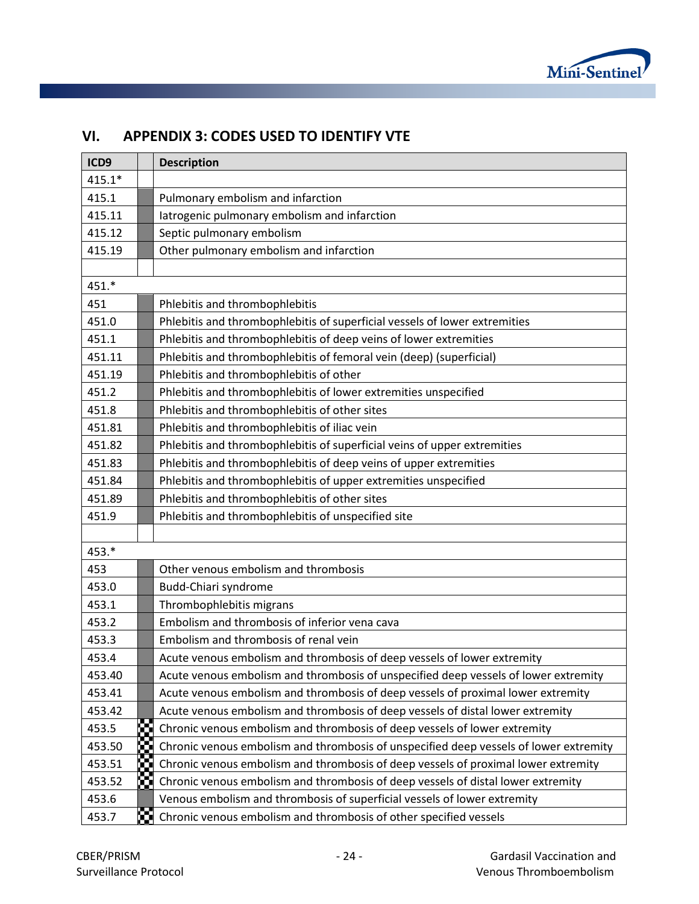

# <span id="page-27-0"></span>**VI. APPENDIX 3: CODES USED TO IDENTIFY VTE**

| ICD9     |    | <b>Description</b>                                                                    |
|----------|----|---------------------------------------------------------------------------------------|
| $415.1*$ |    |                                                                                       |
| 415.1    |    | Pulmonary embolism and infarction                                                     |
| 415.11   |    | latrogenic pulmonary embolism and infarction                                          |
| 415.12   |    | Septic pulmonary embolism                                                             |
| 415.19   |    | Other pulmonary embolism and infarction                                               |
|          |    |                                                                                       |
| 451.*    |    |                                                                                       |
| 451      |    | Phlebitis and thrombophlebitis                                                        |
| 451.0    |    | Phlebitis and thrombophlebitis of superficial vessels of lower extremities            |
| 451.1    |    | Phlebitis and thrombophlebitis of deep veins of lower extremities                     |
| 451.11   |    | Phlebitis and thrombophlebitis of femoral vein (deep) (superficial)                   |
| 451.19   |    | Phlebitis and thrombophlebitis of other                                               |
| 451.2    |    | Phlebitis and thrombophlebitis of lower extremities unspecified                       |
| 451.8    |    | Phlebitis and thrombophlebitis of other sites                                         |
| 451.81   |    | Phlebitis and thrombophlebitis of iliac vein                                          |
| 451.82   |    | Phlebitis and thrombophlebitis of superficial veins of upper extremities              |
| 451.83   |    | Phlebitis and thrombophlebitis of deep veins of upper extremities                     |
| 451.84   |    | Phlebitis and thrombophlebitis of upper extremities unspecified                       |
| 451.89   |    | Phlebitis and thrombophlebitis of other sites                                         |
| 451.9    |    | Phlebitis and thrombophlebitis of unspecified site                                    |
|          |    |                                                                                       |
| 453.*    |    |                                                                                       |
| 453      |    | Other venous embolism and thrombosis                                                  |
| 453.0    |    | Budd-Chiari syndrome                                                                  |
| 453.1    |    | Thrombophlebitis migrans                                                              |
| 453.2    |    | Embolism and thrombosis of inferior vena cava                                         |
| 453.3    |    | Embolism and thrombosis of renal vein                                                 |
| 453.4    |    | Acute venous embolism and thrombosis of deep vessels of lower extremity               |
| 453.40   |    | Acute venous embolism and thrombosis of unspecified deep vessels of lower extremity   |
| 453.41   |    | Acute venous embolism and thrombosis of deep vessels of proximal lower extremity      |
| 453.42   |    | Acute venous embolism and thrombosis of deep vessels of distal lower extremity        |
| 453.5    | 83 | Chronic venous embolism and thrombosis of deep vessels of lower extremity             |
| 453.50   | m  | Chronic venous embolism and thrombosis of unspecified deep vessels of lower extremity |
| 453.51   | 89 | Chronic venous embolism and thrombosis of deep vessels of proximal lower extremity    |
| 453.52   | M  | Chronic venous embolism and thrombosis of deep vessels of distal lower extremity      |
| 453.6    |    | Venous embolism and thrombosis of superficial vessels of lower extremity              |
| 453.7    |    | Chronic venous embolism and thrombosis of other specified vessels                     |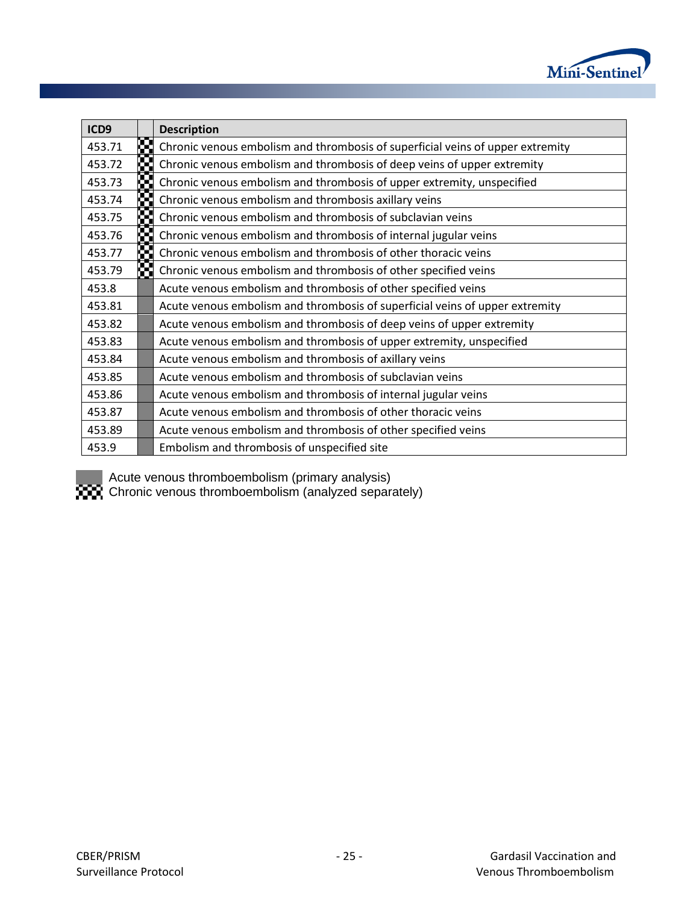

| ICD9   |    | <b>Description</b>                                                             |
|--------|----|--------------------------------------------------------------------------------|
| 453.71 | М  | Chronic venous embolism and thrombosis of superficial veins of upper extremity |
| 453.72 | M  | Chronic venous embolism and thrombosis of deep veins of upper extremity        |
| 453.73 | M  | Chronic venous embolism and thrombosis of upper extremity, unspecified         |
| 453.74 | M  | Chronic venous embolism and thrombosis axillary veins                          |
| 453.75 | W  | Chronic venous embolism and thrombosis of subclavian veins                     |
| 453.76 | 83 | Chronic venous embolism and thrombosis of internal jugular veins               |
| 453.77 | Ø. | Chronic venous embolism and thrombosis of other thoracic veins                 |
| 453.79 | 83 | Chronic venous embolism and thrombosis of other specified veins                |
| 453.8  |    | Acute venous embolism and thrombosis of other specified veins                  |
| 453.81 |    | Acute venous embolism and thrombosis of superficial veins of upper extremity   |
| 453.82 |    | Acute venous embolism and thrombosis of deep veins of upper extremity          |
| 453.83 |    | Acute venous embolism and thrombosis of upper extremity, unspecified           |
| 453.84 |    | Acute venous embolism and thrombosis of axillary veins                         |
| 453.85 |    | Acute venous embolism and thrombosis of subclavian veins                       |
| 453.86 |    | Acute venous embolism and thrombosis of internal jugular veins                 |
| 453.87 |    | Acute venous embolism and thrombosis of other thoracic veins                   |
| 453.89 |    | Acute venous embolism and thrombosis of other specified veins                  |
| 453.9  |    | Embolism and thrombosis of unspecified site                                    |



Acute venous thromboembolism (primary analysis)

Chronic venous thromboembolism (analyzed separately)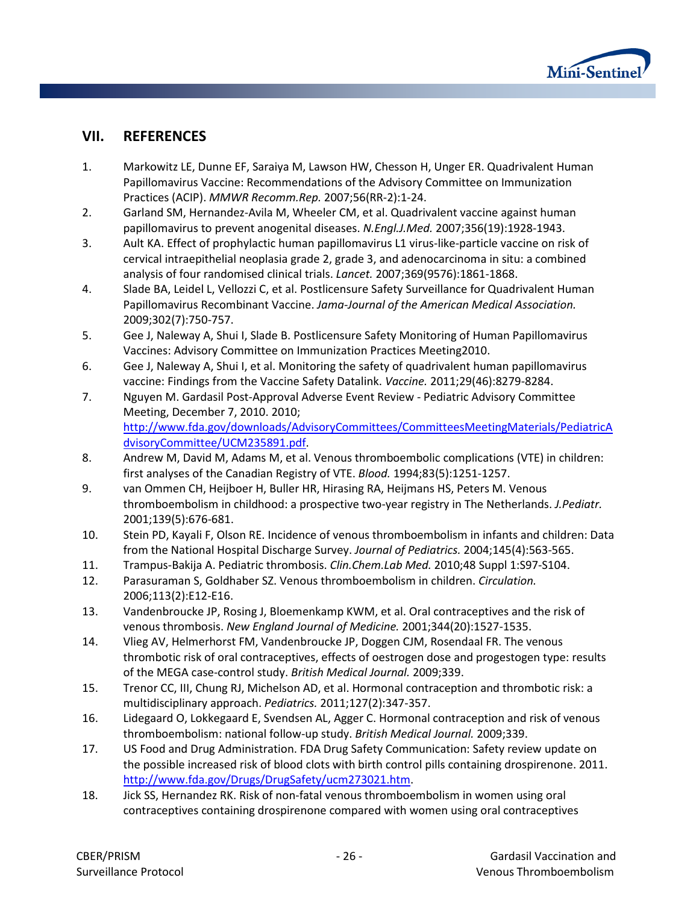

## **VII. REFERENCES**

- 1. Markowitz LE, Dunne EF, Saraiya M, Lawson HW, Chesson H, Unger ER. Quadrivalent Human Papillomavirus Vaccine: Recommendations of the Advisory Committee on Immunization Practices (ACIP). *MMWR Recomm.Rep.* 2007;56(RR-2):1-24.
- 2. Garland SM, Hernandez-Avila M, Wheeler CM, et al. Quadrivalent vaccine against human papillomavirus to prevent anogenital diseases. *N.Engl.J.Med.* 2007;356(19):1928-1943.
- 3. Ault KA. Effect of prophylactic human papillomavirus L1 virus-like-particle vaccine on risk of cervical intraepithelial neoplasia grade 2, grade 3, and adenocarcinoma in situ: a combined analysis of four randomised clinical trials. *Lancet.* 2007;369(9576):1861-1868.
- 4. Slade BA, Leidel L, Vellozzi C, et al. Postlicensure Safety Surveillance for Quadrivalent Human Papillomavirus Recombinant Vaccine. *Jama-Journal of the American Medical Association.*  2009;302(7):750-757.
- 5. Gee J, Naleway A, Shui I, Slade B. Postlicensure Safety Monitoring of Human Papillomavirus Vaccines: Advisory Committee on Immunization Practices Meeting2010.
- 6. Gee J, Naleway A, Shui I, et al. Monitoring the safety of quadrivalent human papillomavirus vaccine: Findings from the Vaccine Safety Datalink. *Vaccine.* 2011;29(46):8279-8284.
- 7. Nguyen M. Gardasil Post-Approval Adverse Event Review Pediatric Advisory Committee Meeting, December 7, 2010. 2010; [http://www.fda.gov/downloads/AdvisoryCommittees/CommitteesMeetingMaterials/PediatricA](http://www.fda.gov/downloads/AdvisoryCommittees/CommitteesMeetingMaterials/PediatricAdvisoryCommittee/UCM235891.pdf) [dvisoryCommittee/UCM235891.pdf.](http://www.fda.gov/downloads/AdvisoryCommittees/CommitteesMeetingMaterials/PediatricAdvisoryCommittee/UCM235891.pdf)
- 8. Andrew M, David M, Adams M, et al. Venous thromboembolic complications (VTE) in children: first analyses of the Canadian Registry of VTE. *Blood.* 1994;83(5):1251-1257.
- 9. van Ommen CH, Heijboer H, Buller HR, Hirasing RA, Heijmans HS, Peters M. Venous thromboembolism in childhood: a prospective two-year registry in The Netherlands. *J.Pediatr.*  2001;139(5):676-681.
- 10. Stein PD, Kayali F, Olson RE. Incidence of venous thromboembolism in infants and children: Data from the National Hospital Discharge Survey. *Journal of Pediatrics.* 2004;145(4):563-565.
- 11. Trampus-Bakija A. Pediatric thrombosis. *Clin.Chem.Lab Med.* 2010;48 Suppl 1:S97-S104.
- 12. Parasuraman S, Goldhaber SZ. Venous thromboembolism in children. *Circulation.*  2006;113(2):E12-E16.
- 13. Vandenbroucke JP, Rosing J, Bloemenkamp KWM, et al. Oral contraceptives and the risk of venous thrombosis. *New England Journal of Medicine.* 2001;344(20):1527-1535.
- 14. Vlieg AV, Helmerhorst FM, Vandenbroucke JP, Doggen CJM, Rosendaal FR. The venous thrombotic risk of oral contraceptives, effects of oestrogen dose and progestogen type: results of the MEGA case-control study. *British Medical Journal.* 2009;339.
- 15. Trenor CC, III, Chung RJ, Michelson AD, et al. Hormonal contraception and thrombotic risk: a multidisciplinary approach. *Pediatrics.* 2011;127(2):347-357.
- 16. Lidegaard O, Lokkegaard E, Svendsen AL, Agger C. Hormonal contraception and risk of venous thromboembolism: national follow-up study. *British Medical Journal.* 2009;339.
- 17. US Food and Drug Administration. FDA Drug Safety Communication: Safety review update on the possible increased risk of blood clots with birth control pills containing drospirenone. 2011. [http://www.fda.gov/Drugs/DrugSafety/ucm273021.htm.](http://www.fda.gov/Drugs/DrugSafety/ucm273021.htm)
- 18. Jick SS, Hernandez RK. Risk of non-fatal venous thromboembolism in women using oral contraceptives containing drospirenone compared with women using oral contraceptives